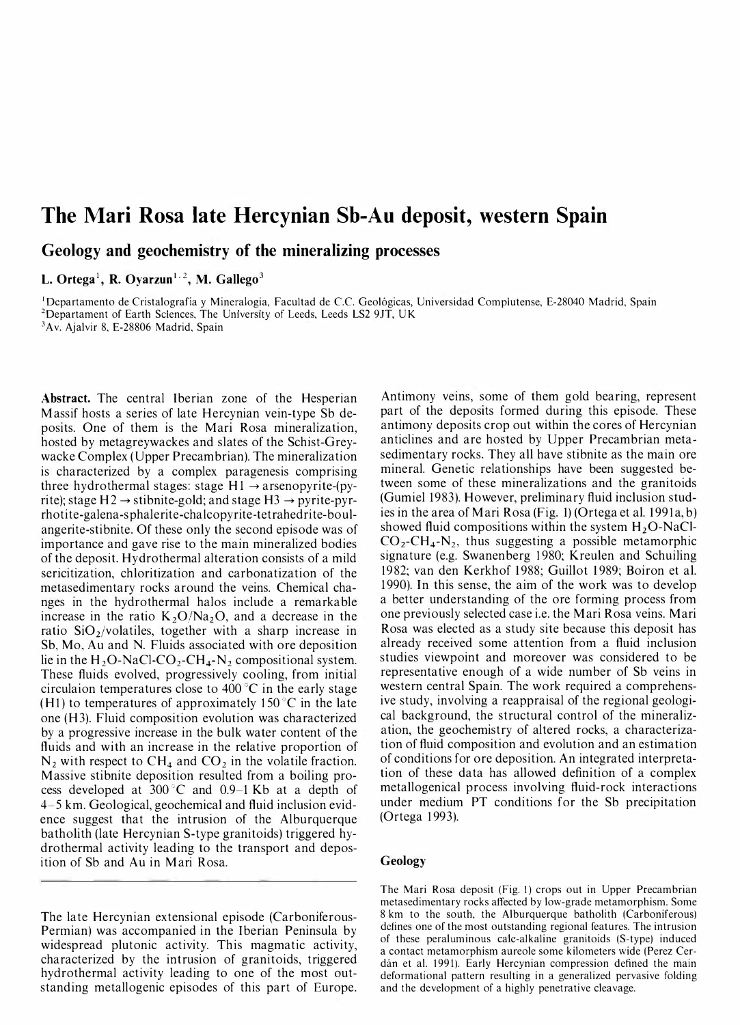# The Mari Rosa late Hercynian Sb-Au deposit, western Spain

Geology and geochemistry of the mineralizing processes

L. Ortega<sup>1</sup>, R. Ovarzun<sup>1, 2</sup>, M. Gallego<sup>3</sup>

<sup>1</sup>Departamento de Cristalografía y Mineralogia, Facultad de C.C. Geológicas, Universidad Complutense, E-28040 Madrid, Spain <sup>2</sup>Departament of Earth Sciences, The University of Leeds, Leeds LS2 9JT, UK 3Av. Ajalvir 8, E-28806 Madrid, Spain

Abstract. The central Iberian zone of the Hesperian M assif hosts a series of late Hercynian vein-type Sb deposits. One of them is the Mari Rosa mineralization, hosted by metagreywackes and slates of the Schist-Greywacke Complex ( Upper Precambrian). The mineralization is characterized by a complex paragenesis comprising three hydrothermal stages: stage  $H1 \rightarrow$  arsenopyrite-(pyrite); stage  $H2 \rightarrow$  stibnite-gold; and stage  $H3 \rightarrow$  pyrite-pyrrhotite-galena-sphalerite-chalcopyrite-tetrahedrite-boulangerite-stibnite. Of these only the second episode was of importance and gave rise to the main mineralized bodies of the deposit. Hydrothermal alteration consists of a mild sericitization, chloritization and carbonatization of the metasedimentary rocks around the veins. Chemical changes in the hydrothermal halos include a remarkable increase in the ratio  $K_2O/Na_2O$ , and a decrease in the ratio  $SiO<sub>2</sub>/volatiles$ , together with a sharp increase in Sb, Mo, Au and N. Fluids associated with ore deposition lie in the  $H_2O-NaCl-CO_2-CH_4-N_2$  compositional system. These fluids evolved, progressively cooling, from initial circulaion temperatures close to  $400^{\circ}$ C in the early stage (H<sub>1</sub>) to temperatures of approximately 150 $\degree$ C in the late one (H3). Fluid composition evolution was characterized by a progressive increase in the bulk water content of the fluids and with an increase in the relative proportion of  $N_2$  with respect to CH<sub>4</sub> and CO<sub>2</sub> in the volatile fraction. Massive stibnite deposition resulted from a boiling process developed at  $300^{\circ}$ C and 0.9-1 Kb at a depth of 4-5 km. Geological, geochemical and fluid inclusion evidence suggest that the intrusion of the Alburquerque batholith (late Hercynian S-type granitoids) triggered hydrothermal activity leading to the transport and deposition of Sb and Au in Mari Rosa.

The late Hercynian extensional episode (Carboniferous-Permian) was accompanied in the Iberian Peninsula by widespread plutonic activity. This magmatic activity, characterized by the intrusion of granitoids, triggered hydrothermal activity leading to one of the most outstanding metallogenic episodes of this part of Europe. Antimony veins, some of them gold bearing, represent part of the deposits formed during this episode. These antimony deposits crop out within the cores of Hercynian anticlines and are hosted by Upper Precambrian metasedimentary rocks. They all have stibnite as the main ore mineral. Genetic relationships have been suggested between some of these mineralizations and the granitoids (Gumiel 1983). However, preliminary fluid inclusion studies in the area of Mari Rosa (Fig. 1) (Ortega et al. 1991a, b) showed fluid compositions within the system  $H_2O-NaCl$ - $CO_2$ -CH<sub>4</sub>-N<sub>2</sub>, thus suggesting a possible metamorphic signature (e.g. Swanenberg 1980; Kreulen and Schuiling 1982; van den Kerkhof 1988; Guillot 1989; Boiron et al. 1 990). In this sense, the aim of the work was to develop a better understanding of the ore forming process from one previously selected case i.e. the M ari Rosa veins. Mari Rosa was elected as a study site because this deposit has already received some attention from a fluid inclusion studies viewpoint and moreover was considered to be representative enough of a wide number of Sb veins in western central Spain. The work required a comprehensive study, involving a reappraisal of the regional geological background, the structural control of the mineralization, the geochemistry of altered rocks, a characterization of fluid composition and evolution and an estimation of conditions for ore deposition. An integrated interpretation of these data has allowed definition of a complex metallogenical process involving fluid-rock interactions under medium PT conditions for the Sb precipitation (Ortega 1 993).

# Geology

The Mari Rosa deposit (Fig. 1) crops out in Upper Precambrian metasedimentary rocks affected by low-grade metamorphism. Some 8 km to the south, the Alburquerque batholith (Carboniferous) defines one of the most outstanding regional features. The intrusion of these peraluminous cale-alkaline granitoids (S-type) induced a contact metamorphism aureole some kilometers wide (Perez Cerdim et al. 1991). Early Hercynian compression defined the main deformational pattern resulting in a generalized pervasive folding and the development of a highly penetrative cleavage.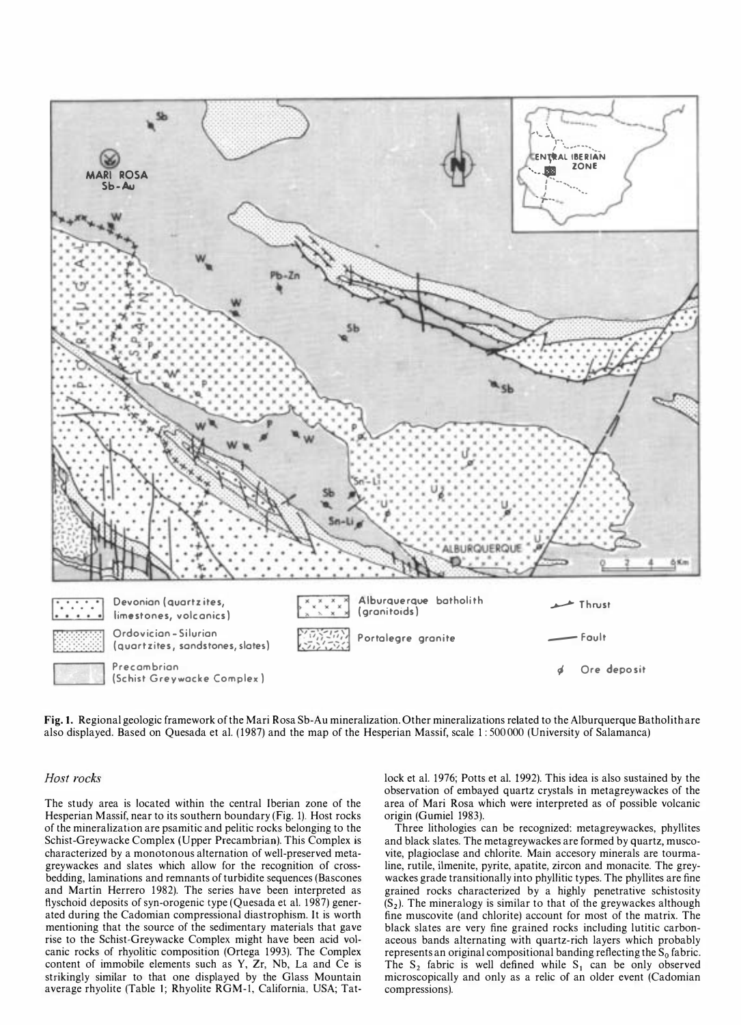

Fig. I. Regional geologic framework of the Mari Rosa Sb·Au mineralization. Other mineralizations related to the Alburquerque Batholith are also displayed. Based on Quesada et al. (1987) and the map of the Hesperian Massif, scale 1: 500 000 (University of Salamanca)

### Host rocks

The study area is located within the central Iberian zone of the Hesperian Massif, near to its southern boundary (Fig. 1). Host rocks of the mineralization are psamitic and pelitic rocks belonging to the Schist·Greywacke Complex (Upper Precambrian). This Complex is characterized by a monotonous alternation of well·preserved meta· greywackes and slates which allow for the recognition of cross· bedding, laminations and remnants of turbidite sequences (Bascones and Martin Herrero 1982). The series have been interpreted as flyschoid deposits of syn·orogenic type (Quesada et al. 1987) gener· ated during the Cadomian compressional diastrophism. It is worth mentioning that the source of the sedimentary materials that gave rise to the Schist·Greywacke Complex might have been acid vol· canic rocks of rhyolitic composition (Ortega 1993). The Complex content of immobile elements such as Y, Zr, Nb, La and Ce is strikingly similar to that one displayed by the Glass Mountain average rhyolite (Table 1; Rhyolite RGM-1, California, USA; Tatlock et al. 1976; Potts et al. 1992). This idea is also sustained by the observation of embayed quartz crystals in metagreywackes of the area of Mari Rosa which were interpreted as of possible volcanic origin (Gumiel 1983).

Three lithologies can be recognized: metagreywackes, phyllites and black slates. The metagreywackes are formed by quartz, musco· vite, plagioclase and chlorite. Main accesory minerals are tourma· line, rutile, ilmenite, pyrite, apatite, zircon and monacite. The grey· wackes grade transitionally into phyllitic types. The phyllites are fine grained rocks characterized by a highly penetrative schistosity  $(S<sub>2</sub>)$ . The mineralogy is similar to that of the greywackes although fine muscovite (and chlorite) account for most of the matrix. The black slates are very fine grained rocks including lutitic carbon· aceous bands alternating with quartz· rich layers which probably represents an original compositional banding reflecting the  $S_0$  fabric. The  $S_2$  fabric is well defined while  $S_1$  can be only observed microscopically and only as a relic of an older event (Cadomian compressions).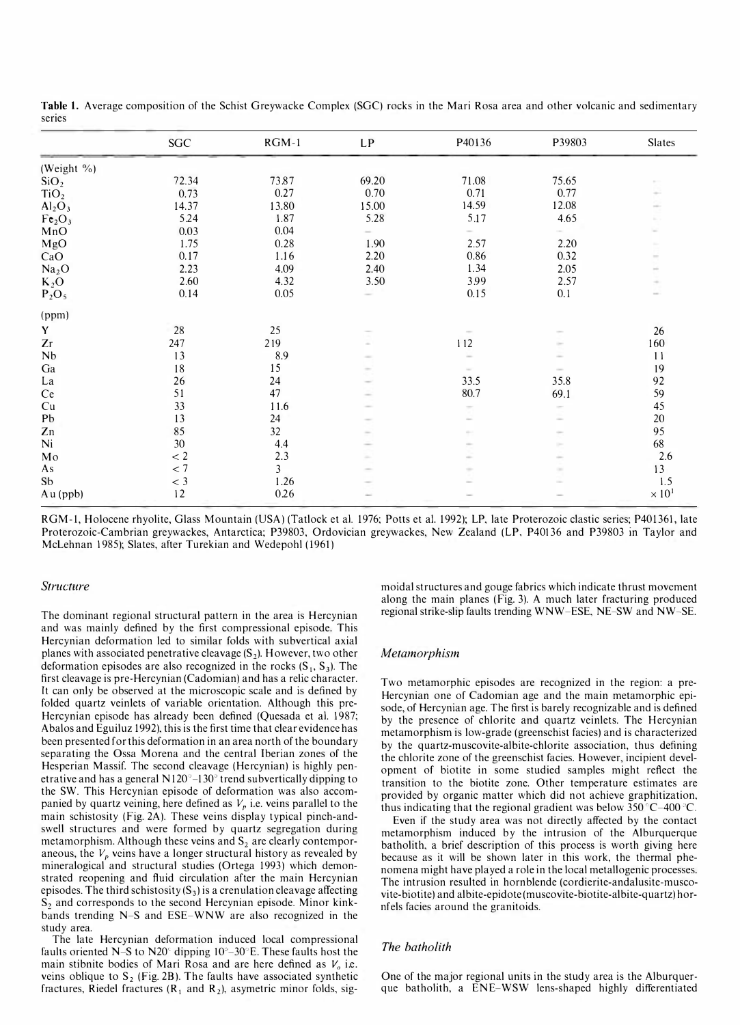|                                | SGC   | $RGM-1$ | LP            | P40136 | P39803 | Slates                                                              |
|--------------------------------|-------|---------|---------------|--------|--------|---------------------------------------------------------------------|
| (Weight %)                     |       |         |               |        |        |                                                                     |
| SiO <sub>2</sub>               | 72.34 | 73.87   | 69.20         | 71.08  | 75.65  |                                                                     |
| TiO <sub>2</sub>               | 0.73  | 0.27    | 0.70          | 0.71   | 0.77   |                                                                     |
| Al <sub>2</sub> O <sub>3</sub> | 14.37 | 13.80   | 15.00         | 14.59  | 12.08  | $\sim$                                                              |
| Fe <sub>2</sub> O <sub>3</sub> | 5.24  | 1.87    | 5.28          | 5.17   | 4.65   |                                                                     |
| MnO                            | 0.03  | 0.04    |               |        |        |                                                                     |
| MgO                            | 1.75  | 0.28    | 1.90          | 2.57   | 2.20   |                                                                     |
| CaO                            | 0.17  | 1.16    | 2.20          | 0.86   | 0.32   | $\frac{1}{2}$                                                       |
| Na <sub>2</sub> O              | 2.23  | 4.09    | 2.40          | 1.34   | 2.05   | $\frac{1}{2} \left( \frac{1}{2} \right) \left( \frac{1}{2} \right)$ |
| $K_2O$                         | 2.60  | 4.32    | 3.50          | 3.99   | 2.57   |                                                                     |
| $P_2O_5$                       | 0.14  | 0.05    |               | 0.15   | 0.1    |                                                                     |
| (ppm)                          |       |         |               |        |        |                                                                     |
| Y                              | 28    | 25      |               |        |        | 26                                                                  |
| Zr                             | 247   | 219     |               | 112    | $\sim$ | 160                                                                 |
| ${\bf Nb}$                     | 13    | 8.9     | $\sim$        |        |        | 11                                                                  |
| Ga                             | 18    | 15      | $\sim$        |        |        | 19                                                                  |
| La                             | 26    | 24      |               | 33.5   | 35.8   | 92                                                                  |
| Ce                             | 51    | 47      |               | 80.7   | 69.1   | 59                                                                  |
| Cu                             | 33    | 11.6    |               | $\sim$ | $\sim$ | 45                                                                  |
| Pb                             | 13    | 24      |               |        |        | 20                                                                  |
| Zn                             | 85    | 32      |               |        |        | 95                                                                  |
| Ni                             | 30    | 4.4     |               |        |        | 68                                                                  |
| Mo                             | < 2   | 2.3     | $\frac{1}{2}$ |        |        | 2.6                                                                 |
| As                             | < 7   | 3       |               |        | $\sim$ | 13                                                                  |
| Sb                             | $<$ 3 | 1.26    |               |        |        | 1.5                                                                 |
| Au (ppb)                       | 12    | 0.26    |               |        |        | $\times$ 10 <sup>1</sup>                                            |

Table 1. Average composition of the Schist Greywacke Complex (SGC) rocks in the Mari Rosa area and other volcanic and sedimentary series

RGM-I, Holocene rhyolite, Glass Mountain (USA) (Tatlock et a1. 1976; Potts et a1. 1992); LP, late Proterozoic clastic series; P401361, late . Proterozoic-Cambrian greywackes, Antarctica; P39803, Ordovician greywackes, New Zealand (LP, P40136 and P39803 In Taylor and McLehnan 1985); Slates, after Turekian and Wedepohl (1961)

#### Structure

The dominant regional structural pattern in the area is Hercynian and was mainly defined by the first compressional episode. This Hercynian deformation led to similar folds with subvertical axial planes with associated penetrative cleavage  $(S_2)$ . However, two other deformation episodes are also recognized in the rocks  $(S_1, S_3)$ . The first cleavage is pre-Hercynian (Cadomian) and has a relic character. It can only be observed at the microscopic scale and is defined by folded quartz veinlets of variable orientation. Although this pre-Hercynian episode has already been defined (Quesada et al. 1987; Abalos and Eguiluz 1992), this is the first time that clear evidence has been presented for this deformation in an area north of the boundary separating the Ossa Morena and the central Iberian zones of the Hesperian Massif. The second cleavage (Hercynian) is highly penetrative and has a general  $N120^{\circ}-130^{\circ}$  trend subvertically dipping to the SW. This Hercynian episode of deformation was also accompanied by quartz veining, here defined as  $V_p$  i.e. veins parallel to the main schistosity (Fig. 2A). These veins display typical pinch-andswell structures and were formed by quartz segregation during metamorphism. Although these veins and  $S_2$  are clearly contemporaneous, the  $V_p$  veins have a longer structural history as revealed by mineralogical and structural studies (Ortega 1993) which demonstrated reopening and fluid circulation after the main Hercynian episodes. The third schistosity  $(S_3)$  is a crenulation cleavage affecting S<sub>2</sub> and corresponds to the second Hercynian episode. Minor kinkbands trending N-S and ESE-WNW are also recognized in the study area.

The late Hercynian deformation induced local compressional faults oriented N–S to N20 $\degree$  dipping 10 $\degree$ –30 $\degree$ E. These faults host the main stibnite bodies of Mari Rosa and are here defined as  $V<sub>o</sub>$  i.e. veins oblique to  $S_2$  (Fig. 2B). The faults have associated synthetic fractures, Riedel fractures ( $R_1$  and  $R_2$ ), asymetric minor folds, sigmoidal structures and gouge fabrics which indicate thrust movement along the main planes (Fig. 3). A much later fracturing produced regional strike-slip faults trending WNW-ESE, NE-SW and NW-SE.

### Metamorphism

Two metamorphic episodes are recognized in the region: a pre-Hercynian one of Cadomian age and the main metamorphic episode, of Hercynian age. The first is barely recognizable and is defined by the presence of chlorite and quartz veinlets. The Hercynian metamorphism is low-grade (greenschist facies) and is characterized by the quartz-muscovite-albite-chlorite association, thus defining the chlorite zone of the greenschist facies. However, incipient development of biotite in some studied samples might reflect the transition to the biotite zone. Other temperature estimates are provided by organic matter which did not achieve graphitization, thus indicating that the regional gradient was below  $350^{\circ}$ C-400 $^{\circ}$ C.

Even if the study area was not directly affected by the contact metamorphism induced by the intrusion of the Alburquerque batholith, a brief description of this process is worth giving here because as it will be shown later in this work, the thermal phenomena might have played a role in the local metallogenic processes. The intrusion resulted in hornblende (cordierite-andalusite-muscovite-biotite) and albite-epidote (muscovite-biotite-albite-quartz) hornfels facies around the granitoids.

# The batholith

One of the major regional units in the study area is the Alburquerque batholith, a ENE-WSW lens-shaped highly differentiated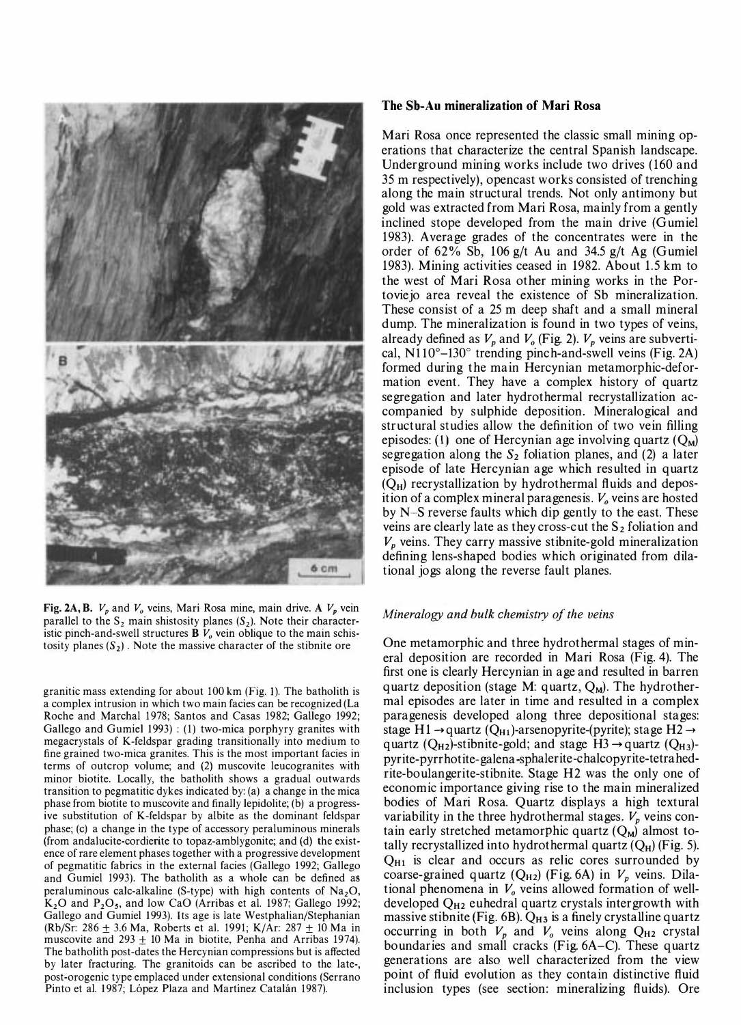

Fig. 2A, B.  $V_p$  and  $V_q$  veins, Mari Rosa mine, main drive. A  $V_p$  vein parallel to the  $S_2$  main shistosity planes  $(S_2)$ . Note their characteristic pinch-and-swell structures  $\mathbf{B}$   $V_0$  vein oblique to the main schistosity planes  $(S_2)$ . Note the massive character of the stibnite ore

granitic mass extending for about 100 km (Fig. 1). The batholith is a complex intrusion in which two main facies can be recognized (La Roche and Marchal 1978; Santos and Casas 1982; Gallego 1992; Gallego and Gumiel 1993) : (1) two-mica porphyry granites with megacrystals of K-feldspar grading transitionally into medium to fine grained two-mica granites. This is the most important facies in terms of outcrop volume; and (2) muscovite leucogranites with minor biotite. Locally, the batholith shows a gradual outwards transition to pegmatitic dykes indicated by: (a) a change in the mica phase from biotite to muscovite and finally lepidolite; (b) a progressive substitution of K-feldspar by albite as the dominant feldspar phase; (c) a change in the type of accessory peraluminous minerals (from andalucite-cordierite to topaz-amblygonite; and (d) the existence of rare element phases together with a progressive development of pegmatitic fabrics in the external facies (Gallego 1992; Gallego and Gumiel 1993). The batholith as a whole can be defined as peraluminous calc-alkaline (S-type) with high contents of  $Na<sub>2</sub>O$ ,  $K<sub>2</sub>O$  and  $P<sub>2</sub>O<sub>5</sub>$ , and low CaO (Arribas et al. 1987; Gallego 1992; Gallego and Gumiel 1993). Its age is late Westphalian/Stephanian (Rb/Sr: 286 ± 3.6 Ma, Roberts et al. 1991; K/Ar: 287 ± 10 Ma in muscovite and  $293 \pm 10$  Ma in biotite, Penha and Arribas 1974). The batholith post-dates the Hercynian compressions but is affected by later fracturing. The granitoids can be ascribed to the late-, post-orogenic type emplaced under extensional conditions (Serrano Pinto et al. 1987; López Plaza and Martínez Catalán 1987).

# The Sb-Au mineralization of Mari Rosa

Mari Rosa once represented the classic small mining operations that characterize the central Spanish landscape. Underground mining works include two drives (160 and 35 m respectively), opencast works consisted of trenching along the main structural trends. Not only antimony but gold was extracted from Mari Rosa, mainly from a gently inclined stope developed from the main drive (Gumiel 1983). Average grades of the concentrates were in the order of  $62\%$  Sb,  $106$  g/t Au and  $34.5$  g/t Ag (Gumiel 1983). Mining activities ceased in 1982. About 1.5 km to the west of Mari Rosa other mining works in the Portoviejo area reveal the existence of Sb mineralization. These consist of a 25 m deep shaft and a small mineral dump. The mineralization is found in two types of veins, already defined as  $V_p$  and  $V_o$  (Fig. 2).  $V_p$  veins are subvertical,  $N110^{\circ}$ –130° trending pinch-and-swell veins (Fig. 2A) formed during the main Hercynian metamorphic-deformation event. They have a complex history of quartz segregation and later hydrothermal recrystallization accompanied by sulphide deposition. Mineralogical and structural studies allow the definition of two vein filling episodes: (1) one of Hercynian age involving quartz  $(O_M)$ segregation along the  $S_2$  foliation planes, and (2) a later episode of late Hercynian age which resulted in quartz  $(Q_H)$  recrystallization by hydrothermal fluids and deposition of a complex mineral paragenesis.  $V<sub>o</sub>$  veins are hosted by N-S reverse faults which dip gently to the east. These veins are clearly late as they cross-cut the  $S_2$  foliation and  $V_p$  veins. They carry massive stibnite-gold mineralization defining lens-shaped bodies which originated from dilational jogs along the reverse fault planes.

### Mineralogy and bulk chemistry of the veins

One metamorphic and three hydrothermal stages of mineral deposition are recorded in Mari Rosa (Fig. 4). The first one is clearly Hercynian in age and resulted in barren quartz deposition (stage M: quartz,  $Q_M$ ). The hydrothermal episodes are later in time and resulted in a complex paragenesis developed along three depositional stages: stage H1  $\rightarrow$  quartz (Q<sub>H1</sub>)-arsenopyrite-(pyrite); stage H2  $\rightarrow$ quartz ( $Q_{H2}$ )-stibnite-gold; and stage H3  $\rightarrow$  quartz ( $Q_{H3}$ )pyrite-pyrrhotite-galena-sphalerite-chalcopyrite-tetrahedrite-boulangerite-stibnite. Stage H2 was the only one of economic importance giving rise to the main mineralized bodies of Mari Rosa. Quartz displays a high textural variability in the three hydrothermal stages.  $V_p$  veins contain early stretched metamorphic quartz  $(Q_M)$  almost totally recrystallized into hydrothermal quartz  $(Q_H)$  (Fig. 5).  $Q_{H1}$  is clear and occurs as relic cores surrounded by coarse-grained quartz ( $Q_{H2}$ ) (Fig. 6A) in  $V_p$  veins. Dilational phenomena in  $V_0$  veins allowed formation of welldeveloped  $Q_{H2}$  euhedral quartz crystals intergrowth with massive stibnite (Fig.  $6B$ ).  $Q_{H3}$  is a finely crystalline quartz occurring in both  $V_p$  and  $V_o$  veins along  $Q_{H2}$  crystal boundaries and small cracks (Fig. 6A-C). These quartz generations are also well characterized from the view point of fluid evolution as they contain distinctive fluid inclusion types (see section: mineralizing fluids). Ore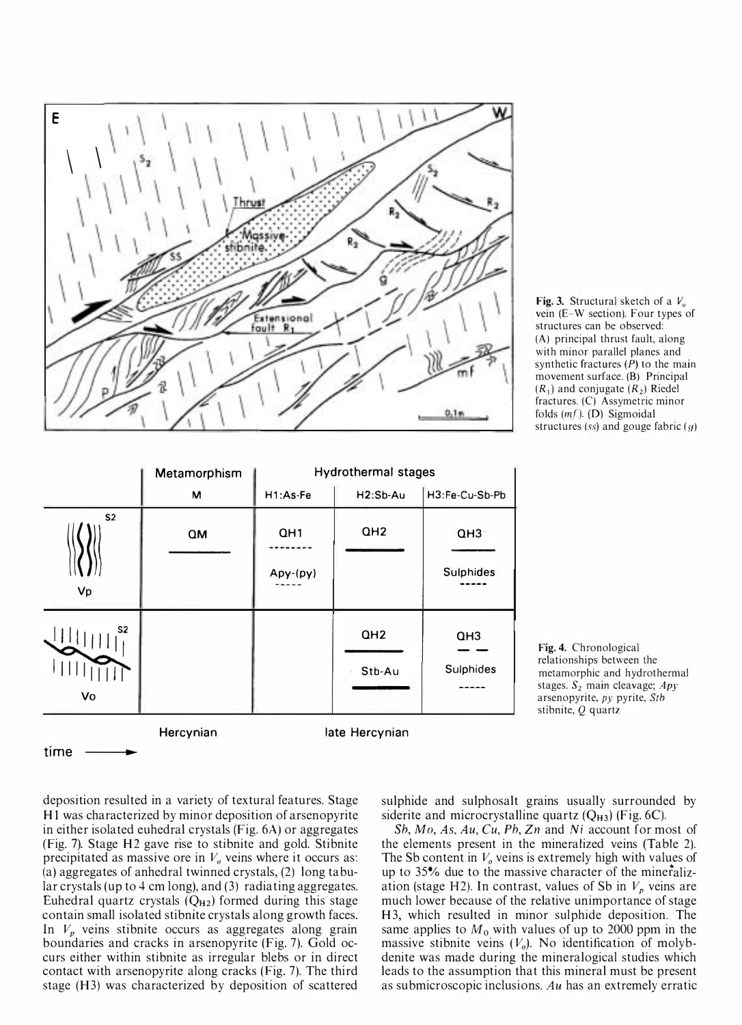

Fig. 3. Structural sketch of a  $V_{\alpha}$ vein (E-W section). Four types of structures can be observed: (A) principal thrust fault, along with minor parallel planes and synthetic fractures  $(P)$  to the main movement surface. (B) Principal  $(R_1)$  and conjugate  $(R_2)$  Riedel fractures. (C) Assymetric minor folds  $(mf)$ . (D) Sigmoidal structures (ss) and gouge fabric  $(g)$ 

|                      | Metamorphism | <b>Hydrothermal stages</b> |                           |                              |  |
|----------------------|--------------|----------------------------|---------------------------|------------------------------|--|
|                      | M            | H1:As-Fe                   | H <sub>2</sub> :Sb-Au     | H3:Fe-Cu-Sb-Pb               |  |
| S <sub>2</sub><br>Vp | QM           | QH1<br>Apy-(py)            | QH <sub>2</sub>           | QH3<br><b>Sulphides</b>      |  |
| S2<br>Vo             |              |                            | QH <sub>2</sub><br>Stb-Au | QH <sub>3</sub><br>Sulphides |  |
| time                 | Hercynian    |                            | late Hercynian            |                              |  |

Fig. 4. Chronological relationships between the metamorphic and hydrothermal stages.  $S_2$  main cleavage;  $Apy$ arsenopyrite, py pyrite, Stb stibnite,  $Q$  quartz

deposition resulted in a variety of textural features. Stage HI was characterized by minor deposition of arsenopyrite in either isolated euhedral crystals (Fig. 6A) or aggregates (Fig. 7). Stage H2 gave rise to stibnite and gold. Stibnite precipitated as massive ore in  $V<sub>o</sub>$  veins where it occurs as: (a) aggregates of anhedral twinned crystals, (2) long tabular crystals (up to 4 cm long), and (3) radiating aggregates. Euhedral quartz crystals  $(Q_{H2})$  formed during this stage contain small isolated stibnite crystals along growth faces. In  $V_p$  veins stibnite occurs as aggregates along grain boundaries and cracks in arsenopyrite (Fig. 7). Gold occurs either within stibnite as irregular blebs or in direct contact with arsenopyrite along cracks (Fig. 7). The third stage (H3) was characterized by deposition of scattered

sulphide and sulphosalt grains usually surrounded by siderite and microcrystalline quartz  $(Q_{H3})$  (Fig. 6C).

Sh, Mo, As, Au, Cu, Ph, Zn and Ni account for most of the elements present in the mineralized veins (Table 2). The Sb content in  $V<sub>o</sub>$  veins is extremely high with values of the second  $\sum_{n=0}^{\infty}$  vehis is extremely high with variable of up to 35% due to the massive character of the mineralization (stage H2). In contrast, values of Sb in  $V_p$  veins are much lower because of the relative unimportance of stage H3, which resulted in minor sulphide deposition. The same applies to  $M_0$  with values of up to 2000 ppm in the massive stibnite veins  $(V<sub>o</sub>)$ . No identification of molybdenite was made during the mineralogical studies which leads to the assumption that this mineral must be present as submicroscopic inclusions. Au has an extremely erratic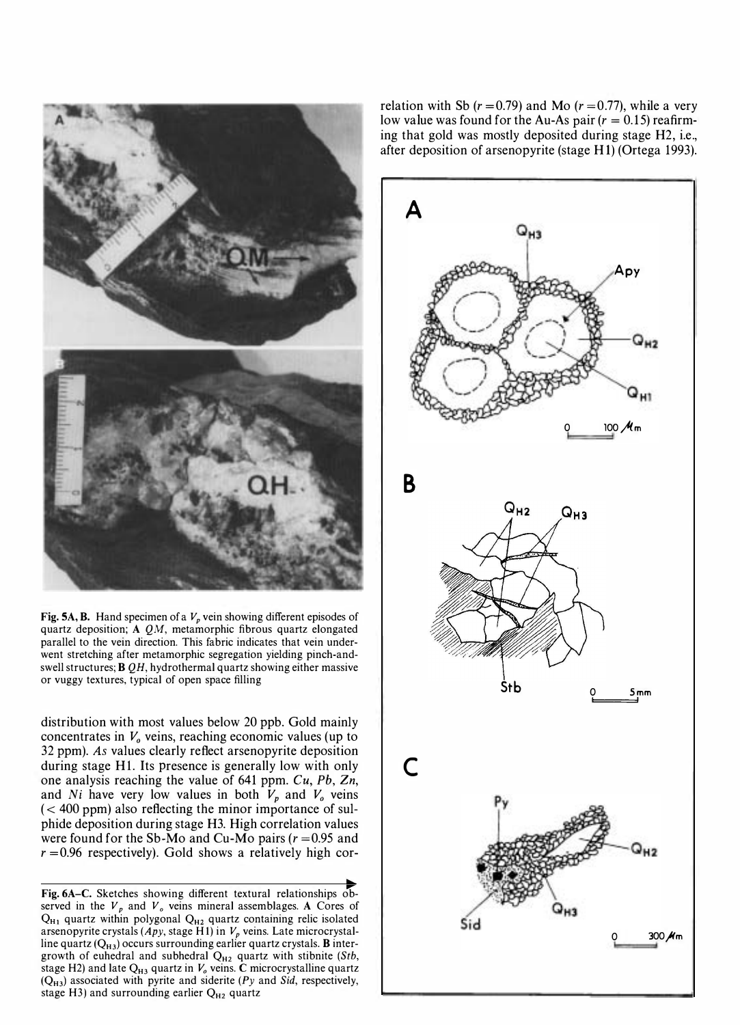

Fig. 5A, B. Hand specimen of a  $V_p$  vein showing different episodes of quartz deposition; A QM, metamorphic fibrous quartz elongated parallel to the vein direction. This fabric indicates that vein underwent stretching after metamorphic segregation yielding pinch-andswell structures; B QH, hydrothermal quartz showing either massive or vuggy textures, typical of open space filling

distribution with most values below 20 ppb. Gold mainly concentrates in  $V<sub>o</sub>$  veins, reaching economic values (up to 32 ppm). As values clearly reflect arsenopyrite deposition during stage Hl. Its presence is generally low with only one analysis reaching the value of 641 ppm.  $Cu$ ,  $Pb$ ,  $Zn$ , and Ni have very low values in both  $V_p$  and  $V_o$  veins  $(< 400$  ppm) also reflecting the minor importance of sulphide deposition during stage H3. High correlation values were found for the Sb-Mo and Cu-Mo pairs ( $r = 0.95$  and  $r = 0.96$  respectively). Gold shows a relatively high cor-

Fig.6A-C. Sketches showing different textural relationships observed in the  $V_p$  and  $V_o$  veins mineral assemblages. A Cores of  $Q_{H1}$  quartz within polygonal  $Q_{H2}$  quartz containing relic isolated arsenopyrite crystals (Apy, stage H1) in  $V_p$  veins. Late microcrystalline quartz  $(Q_{H3})$  occurs surrounding earlier quartz crystals. **B** intergrowth of euhedral and subhedral  $Q_{H2}$  quartz with stibnite (Stb, stage H2) and late  $Q_{H3}$  quartz in  $V_o$  veins. C microcrystalline quartz  $(Q_{H3})$  associated with pyrite and siderite (Py and Sid, respectively, stage H3) and surrounding earlier  $Q_{H2}$  quartz

relation with Sb  $(r=0.79)$  and Mo  $(r=0.77)$ , while a very low value was found for the Au-As pair  $(r = 0.15)$  reafirming that gold was mostly deposited during stage H2, i.e., after deposition of arsenopyrite (stage HI) (Ortega 1993).

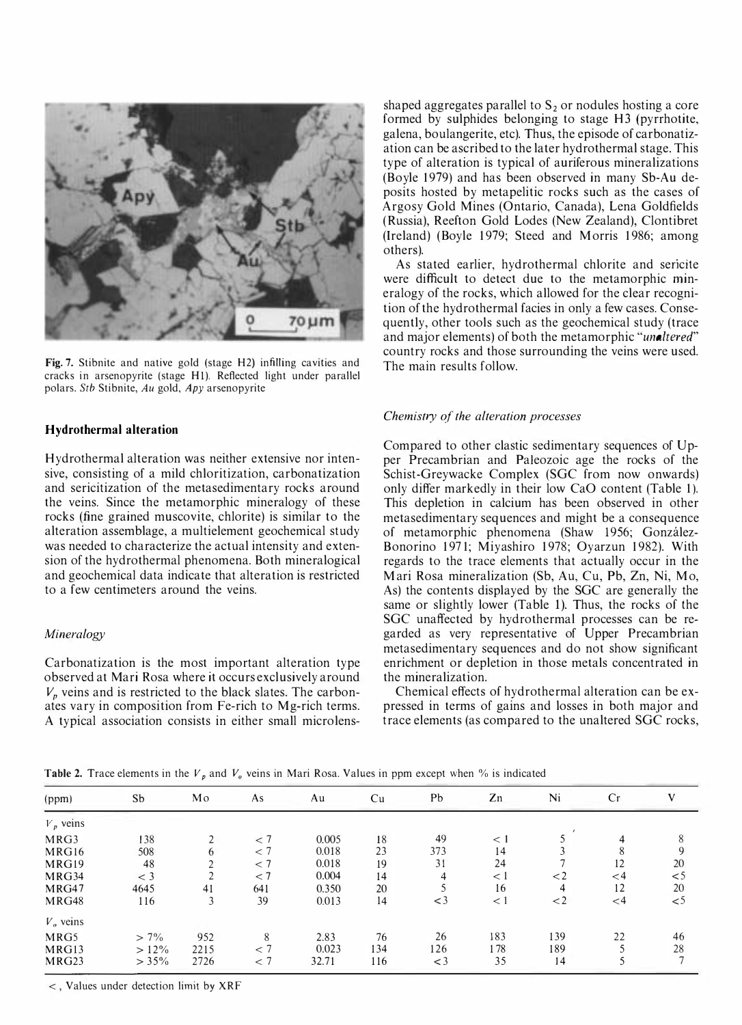

Fig. 7. Stibnite and native gold (stage H2) infilling cavities and cracks in arsenopyrite (stage H1). Reflected light under parallel polars. Stb Stibnite, Au gold, Apy arsenopyrite

# Hydrothermal alteration

Hydrothermal alteration was neither extensive nor intensive, consisting of a mild chloritization, carbonatization and sericitization of the metasedimentary rocks around the veins. Since the metamorphic mineralogy of these rocks (fine grained muscovite, chlorite) is similar to the alteration assemblage, a multielement geochemical study was needed to characterize the actual intensity and extension of the hydrothermal phenomena. Both mineralogical and geochemical data indicate that alteration is restricted to a few centimeters around the veins.

# Mineralogy

Carbonatization is the most important alteration type observed at Mari Rosa where it occurs exclusively around  $V_p$  veins and is restricted to the black slates. The carbonates vary in composition from Fe-rich to Mg-rich terms. A typical association consists in either small microlensshaped aggregates parallel to  $S_2$  or nodules hosting a core formed by sulphides belonging to stage H3 (pyrrhotite, galena, boulangerite, etc). Thus, the episode of carbonatization can be ascribed to the later hydrothermal stage. This type of alteration is typical of auriferous mineralizations (Boyle 1979) and has been observed in many Sb-Au deposits hosted by metapelitic rocks such as the cases of Argosy Gold Mines (Ontario, Canada), Lena Goldfields (Russia), Reefton Gold Lodes (New Zealand), Clontibret (Ireland) (Boyle 1979; Steed and Morris 1986; among others).

As stated earlier, hydrothermal chlorite and sericite were difficult to detect due to the metamorphic mineralogy of the rocks, which allowed for the clear recognition of the hydrothermal facies in only a few cases. Consequently, other tools such as the geochemical study (trace and major elements) of both the metamorphic "unaltered" country rocks and those surrounding the veins were used. The main results follow.

### Chemistry of the alteration processes

Compared to other clastic sedimentary sequences of Upper Precambrian and Paleozoic age the rocks of the Schist-Greywacke Complex (SGC from now onwards) only differ markedly in their low CaO content (Table 1). This depletion in calcium has been observed in other metasedimentary sequences and might be a consequence of metamorphic phenomena (Shaw 1956; Gonzalez-Bonorino 1971; Miyashiro 1978; Oyarzun 1982). With regards to the trace elements that actually occur in the Mari Rosa mineralization (Sb, Au, Cu, Pb, Zn, Ni, Mo, As) the contents displayed by the SGC are generally the same or slightly lower (Table 1). Thus, the rocks of the SGC unaffected by hydrothermal processes can be regarded as very representative of Upper Precambrian metasedimentary sequences and do not show significant enrichment or depletion in those metals concentrated in the mineralization.

Chemical effects of hydrothermal alteration can be expressed in terms of gains and losses in both major and trace elements (as compared to the unaltered SGC rocks,

**Table 2.** Trace elements in the  $V_p$  and  $V_q$  veins in Mari Rosa. Values in ppm except when % is indicated

| (ppm)             | Sb       | Mo           | As    | Au    | Cu  | Pb      | Zn      | Ni      | Cr       | V        |
|-------------------|----------|--------------|-------|-------|-----|---------|---------|---------|----------|----------|
| $V_p$ veins       |          |              |       |       |     |         |         |         |          |          |
| MRG3              | 138      |              | < 7   | 0.005 | 18  | 49      | $\lt 1$ |         | 4        | 8        |
| MRG16             | 508      | 6            | $<$ 7 | 0.018 | 23  | 373     | 14      |         | 8        | 9        |
| MRG19             | 48       |              | $<$ 7 | 0.018 | 19  | 31      | 24      |         | 12       | 20       |
| MRG34             | $<$ 3    | <sup>1</sup> | < 7   | 0.004 | 14  | 4       | $\lt 1$ | $\lt 2$ | $<$ 4    | $<$ 5    |
| MRG47             | 4645     | 41           | 641   | 0.350 | 20  |         | 16      | 4       | 12       | 20       |
| MRG48             | 116      | 3            | 39    | 0.013 | 14  | $\lt$ 3 | < 1     | $\lt 2$ | $\leq 4$ | $\leq 5$ |
| $V_o$ veins       |          |              |       |       |     |         |         |         |          |          |
| MRG5              | $> 7\%$  | 952          | 8     | 2.83  | 76  | 26      | 183     | 139     | 22       | 46       |
| MRG13             | $>12\%$  | 2215         | $<$ 7 | 0.023 | 134 | 126     | 178     | 189     |          | 28       |
| MRG <sub>23</sub> | $> 35\%$ | 2726         | $<$ 7 | 32.71 | 116 | $<$ 3   | 35      | 14      |          |          |

<, Values under detection limit by XRF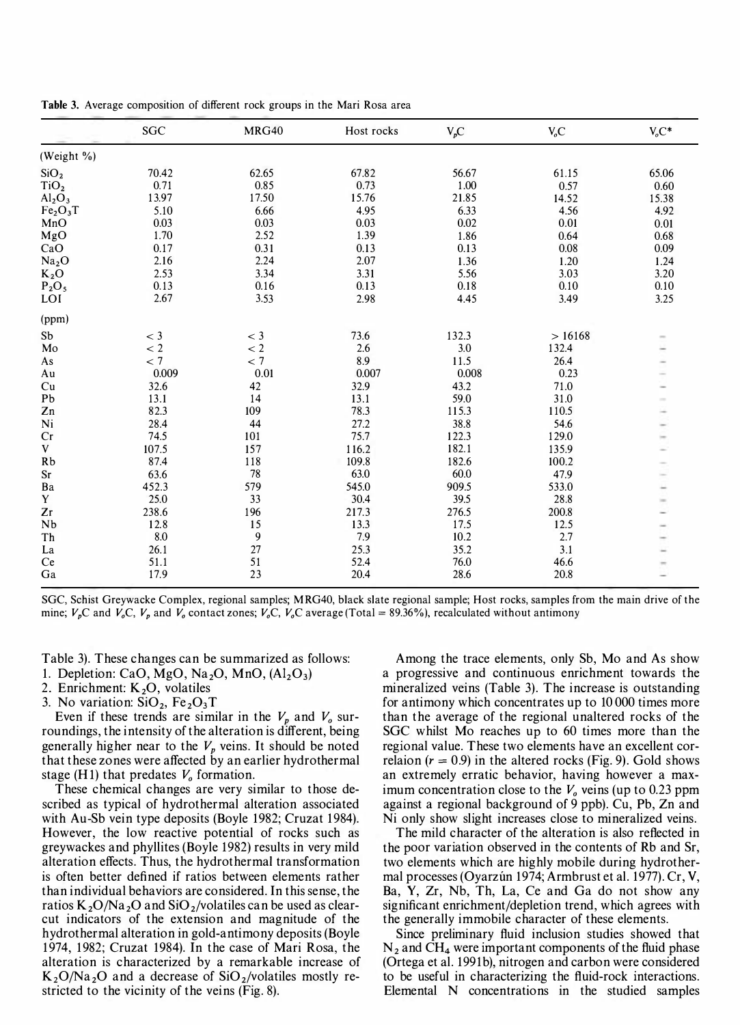|                                  | SGC   | <b>MRG40</b> | Host rocks | $V_pC$ | V <sub>o</sub> C | $V_oC^*$ |
|----------------------------------|-------|--------------|------------|--------|------------------|----------|
| (Weight %)                       |       |              |            |        |                  |          |
| SiO <sub>2</sub>                 | 70.42 | 62.65        | 67.82      | 56.67  | 61.15            | 65.06    |
| TiO <sub>2</sub>                 | 0.71  | 0.85         | 0.73       | 1.00   | 0.57             | 0.60     |
| Al <sub>2</sub> O <sub>3</sub>   | 13.97 | 17.50        | 15.76      | 21.85  | 14.52            | 15.38    |
| Fe <sub>2</sub> O <sub>3</sub> T | 5.10  | 6.66         | 4.95       | 6.33   | 4.56             | 4.92     |
| MnO                              | 0.03  | 0.03         | 0.03       | 0.02   | 0.01             | 0.01     |
| MgO                              | 1.70  | 2.52         | 1.39       | 1.86   | 0.64             | 0.68     |
| CaO                              | 0.17  | 0.31         | 0.13       | 0.13   | 0.08             | 0.09     |
| Na <sub>2</sub> O                | 2.16  | 2.24         | 2.07       | 1.36   | 1.20             | 1.24     |
| $K_2O$                           | 2.53  | 3.34         | 3.31       | 5.56   | 3.03             | 3.20     |
| $P_2O_5$                         | 0.13  | 0.16         | 0.13       | 0.18   | 0.10             | 0.10     |
| LOI                              | 2.67  | 3.53         | 2.98       | 4.45   | 3.49             | 3.25     |
| (ppm)                            |       |              |            |        |                  |          |
| Sb                               | $<$ 3 | $<$ 3        | 73.6       | 132.3  | >16168           |          |
| Mo                               | < 2   | < 2          | 2.6        | 3.0    | 132.4            |          |
| As                               | < 7   | < 7          | 8.9        | 11.5   | 26.4             |          |
| Au                               | 0.009 | 0.01         | 0.007      | 0.008  | 0.23             |          |
| Cu                               | 32.6  | 42           | 32.9       | 43.2   | 71.0             |          |
| Pb                               | 13.1  | 14           | 13.1       | 59.0   | 31.0             |          |
| Zn                               | 82.3  | 109          | 78.3       | 115.3  | 110.5            |          |
| Ni                               | 28.4  | 44           | 27.2       | 38.8   | 54.6             |          |
| Cr                               | 74.5  | 101          | 75.7       | 122.3  | 129.0            |          |
| V                                | 107.5 | 157          | 116.2      | 182.1  | 135.9            |          |
| <b>Rb</b>                        | 87.4  | 118          | 109.8      | 182.6  | 100.2            |          |
| $\rm Sr$                         | 63.6  | 78           | 63.0       | 60.0   | 47.9             |          |
| Ba                               | 452.3 | 579          | 545.0      | 909.5  | 533.0            |          |
| Y                                | 25.0  | 33           | 30.4       | 39.5   | 28.8             |          |
| Zr                               | 238.6 | 196          | 217.3      | 276.5  | 200.8            |          |
| Nb                               | 12.8  | 15           | 13.3       | 17.5   | 12.5             |          |
| Th                               | 8.0   | 9            | 7.9        | 10.2   | 2.7              |          |
| La                               | 26.1  | 27           | 25.3       | 35.2   | 3.1              |          |
| Ce                               | 51.1  | 51           | 52.4       | 76.0   | 46.6             |          |
| Ga                               | 17.9  | 23           | 20.4       | 28.6   | 20.8             |          |

Table 3. Average composition of different rock groups in the Mari Rosa area

Table 3). These changes can be summarized as follows:

1. Depletion: CaO, MgO, Na<sub>2</sub>O, MnO,  $(Al_2O_3)$ 

2. Enrichment:  $K<sub>2</sub>O$ , volatiles

3. No variation:  $SiO<sub>2</sub>$ , Fe<sub>2</sub>O<sub>3</sub>T

Even if these trends are similar in the  $V_p$  and  $V_o$  surroundings, the intensity of the alteration is different, being generally higher near to the  $V_p$  veins. It should be noted that these zones were affected by an earlier hydrothermal stage (H1) that predates  $V<sub>o</sub>$  formation.

These chemical changes are very similar to those described as typical of hydrothermal alteration associated with Au-Sb vein type deposits (Boyle 1982; Cruzat 1984). However, the low reactive potential of rocks such as greywackes and phyllites (Boyle 1982) results in very mild alteration effects. Thus, the hydrothermal transformation is often better defined if ratios between elements rather than individual behaviors are considered. In this sense, the ratios  $K_2O/Na_2O$  and  $SiO_2/volatiles$  can be used as clearcut indicators of the extension and magnitude of the hydrothermal alteration in gold-antimony deposits (Boyle 1 974, 1 982; Cruzat 1984). In the case of Mari Rosa, the alteration is characterized by a remarkable increase of  $K_2O/Na_2O$  and a decrease of SiO<sub>2</sub>/volatiles mostly restricted to the vicinity of the veins (Fig. 8).

Among the trace elements, only Sb, Mo and As show a progressive and continuous enrichment towards the mineralized veins (Table 3). The increase is outstanding for antimony which concentrates up to 10 000 times more than the average of the regional unaltered rocks of the SGC whilst Mo reaches up to 60 times more than the regional value. These two elements have an excellent correlaion  $(r = 0.9)$  in the altered rocks (Fig. 9). Gold shows an extremely erratic behavior, having however a maximum concentration close to the  $V<sub>o</sub>$  veins (up to 0.23 ppm against a regional background of 9 ppb). Cu, Pb, Zn and Ni only show slight increases close to mineralized veins.

The mild character of the alteration is also reflected in the poor variation observed in the contents of Rb and Sr, two elements which are highly mobile during hydrothermal processes (Oyarzún 1974; Armbrust et al. 1977). Cr, V, Ba, Y, Zr, Nb, Th, La, Ce and Ga do not show any significant enrichment/depletion trend, which agrees with the generally immobile character of these elements.

Since preliminary fluid inclusion studies showed that  $N_2$  and CH<sub>4</sub> were important components of the fluid phase (Ortega et al. 1991b), nitrogen and carbon were considered to be useful in characterizing the fluid-rock interactions. Elemental N concentrations in the studied samples

SGC, Schist Greywacke Complex, regional samples; M RG40, black slate regional sample; Host rocks, samples from the main drive of the mine;  $V_pC$  and  $V_pC$ ,  $V_p$  and  $V_p$  contact zones;  $V_pC$ ,  $V_pC$  average (Total = 89.36%), recalculated without antimony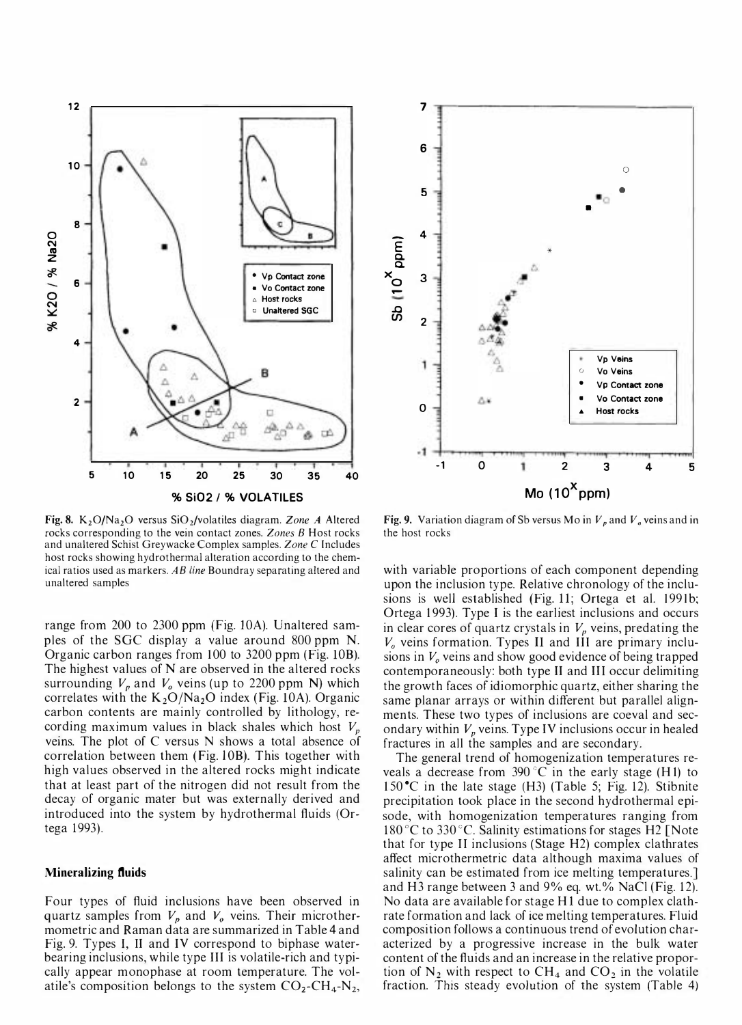

Fig. 8. K<sub>2</sub>O/Na<sub>2</sub>O versus SiO<sub>2</sub>/volatiles diagram. Zone A Altered rocks corresponding to the vein contact zones. Zones B Host rocks and unaltered Schist Greywacke Complex samples. Zone C Includes host rocks showing hydrothermal alteration according to the chemical ratios used as markers. AB line Boundray separating altered and unaltered samples

range from 200 to 2300 ppm (Fig. 10A). Unaltered samples of the SGC display a value around 800 ppm N. Organic carbon ranges from 100 to 3200 ppm (Fig. 10B). The highest values of N are observed in the altered rocks surrounding  $V_p$  and  $V_q$  veins (up to 2200 ppm N) which correlates with the  $K_2O/Na_2O$  index (Fig. 10A). Organic carbon contents are mainly controlled by lithology, recording maximum values in black shales which host  $V_p$ veins. The plot of C versus N shows a total absence of correlation between them (Fig. lOB). This together with high values observed in the altered rocks might indicate that at least part of the nitrogen did not result from the decay of organic mater but was externally derived and introduced into the system by hydrothermal fluids (Ortega 1993).

#### Mineralizing fluids

Four types of fluid inclusions have been observed in quartz samples from  $V_p$  and  $V_q$  veins. Their microthermometric and Raman data are summarized in Table 4 and Fig. 9. Types I, II and IV correspond to biphase waterbearing inclusions, while type III is volatile-rich and typically appear monophase at room temperature. The volatile's composition belongs to the system  $CO_2\text{-}CH_4\text{-}N_2$ ,



Fig. 9. Variation diagram of Sb versus Mo in  $V_p$  and  $V_q$  veins and in the host rocks

with variable proportions of each component depending upon the inclusion type. Relative chronology of the inclusions is well established (Fig. 11; Ortega et al. 1991b; Ortega 1 993). Type I is the earliest inclusions and occurs in clear cores of quartz crystals in  $V_p$  veins, predating the  $V<sub>o</sub>$  veins formation. Types II and III are primary inclusions in  $V<sub>o</sub>$  veins and show good evidence of being trapped contemporaneously: both type II and III occur delimiting the growth faces of idiomorphic quartz, either sharing the same planar arrays or within different but parallel alignments. These two types of inclusions are coeval and secondary within  $V_p$  veins. Type IV inclusions occur in healed fractures in all the samples and are secondary.

The general trend of homogenization temperatures reveals a decrease from  $390^{\circ}$ C in the early stage (H1) to  $150^{\circ}$ C in the late stage (H3) (Table 5; Fig. 12). Stibnite precipitation took place in the second hydrothermal episode, with homogenization temperatures ranging from 180 °C to 330 °C. Salinity estimations for stages H2 [Note that for type II inclusions (Stage H2) complex clathrates affect microthermetric data although maxima values of salinity can be estimated from ice melting temperatures.] and H3 range between 3 and 9% eq. wt.% NaCl (Fig. 12). No data are available for stage HI due to complex clathrate formation and lack of ice melting temperatures. Fluid composition follows a continuous trend of evolution characterized by a progressive increase in the bulk water content of the fluids and an increase in the relative proportion of  $N_2$  with respect to CH<sub>4</sub> and CO<sub>2</sub> in the volatile fraction. This steady evolution of the system (Table 4)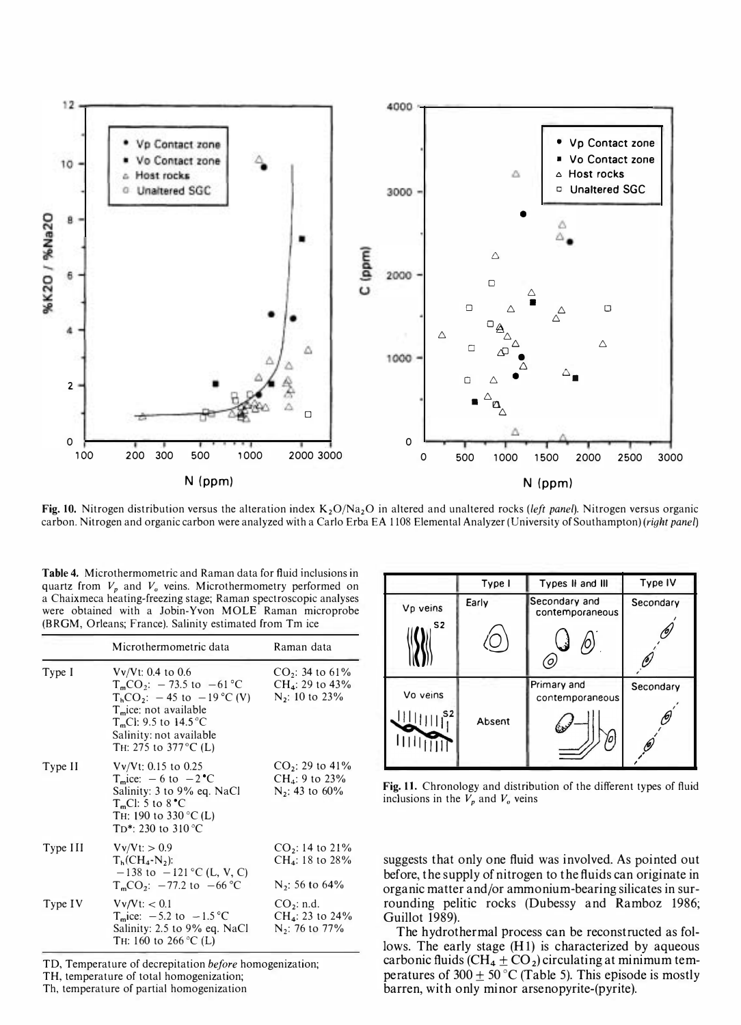

Fig. 10. Nitrogen distribution versus the alteration index  $K_2O/Na_2O$  in altered and unaltered rocks (left panel). Nitrogen versus organic carbon. Nitrogen and organic carbon were analyzed with a Carlo Erba EA 1108 Elemental Analyzer (University of Southampton) (right panel)

Table 4. Microthermometric and Raman data for fluid inclusions in quartz from  $V_p$  and  $V_q$  veins. Microthermometry performed on a Chaixmeca heating-freezing stage; Raman spectroscopic analyses were obtained with a Jobin-Yvon MOLE Raman microprobe (BRGM, Orleans; France). Salinity estimated from Tm ice

|          | Microthermometric data                                                                                                                                                                                                   | Raman data                                                             |
|----------|--------------------------------------------------------------------------------------------------------------------------------------------------------------------------------------------------------------------------|------------------------------------------------------------------------|
| Type I   | $Vv/Vt$ : 0.4 to 0.6<br>$T_{m}CO_2$ : -73.5 to -61 °C<br>$T_hCO_2$ : $-45$ to $-19$ °C (V)<br>T <sub>m</sub> ice: not available<br>T <sub>m</sub> Cl: 9.5 to 14.5 °C<br>Salinity: not available<br>TH: 275 to 377 °C (L) | $CO2: 34$ to 61%<br>$CH_4$ : 29 to 43%<br>N <sub>2</sub> : 10 to 23%   |
| Type II  | $Vv/Vt$ : 0.15 to 0.25<br>$T_m$ ice: $-6$ to $-2$ <sup><math>\degree</math></sup> C<br>Salinity: 3 to 9% eq. NaCl<br>$TmCl: 5$ to $8°C$<br>TH: 190 to 330 °C (L)<br>T <sub>D</sub> <sup>*</sup> : 230 to 310 °C          | $CO2: 29$ to 41%<br>$CH_4$ : 9 to 23%<br>$N_2$ : 43 to 60%             |
| Type III | $Vv/Vt$ : $> 0.9$<br>$T_h$ (CH <sub>4</sub> -N <sub>2</sub> ):<br>$-138$ to $-121$ °C (L, V, C)<br>$T_{m}CO_2$ : $-77.2$ to $-66$ °C                                                                                     | $CO_2$ : 14 to 21%<br>CH <sub>4</sub> : 18 to 28%<br>$N_2$ : 56 to 64% |
| Type IV  | Vv/Vt: < 0.1<br>T <sub>m</sub> ice: $-5.2$ to $-1.5$ °C<br>Salinity: 2.5 to 9% eq. NaCl<br>TH: 160 to 266 °C (L)                                                                                                         | CO <sub>2</sub> : n.d.<br>$CH_4$ : 23 to 24%<br>$N_2$ : 76 to 77%      |

TD, Temperature of decrepitation before homogenization;

TH, temperature of total homogenization; Th, temperature of partial homogenization

|                | Type I | Types II and III                 | Type IV         |
|----------------|--------|----------------------------------|-----------------|
| Vp veins       | Early  | Secondary and<br>contemporaneous | Secondary       |
| S <sub>2</sub> |        |                                  |                 |
| Vo veins<br>S2 | Absent | Primary and<br>contemporaneous   | Secondary<br>Ю) |

Fig. 11. Chronology and distribution of the different types of fluid inclusions in the  $V_p$  and  $V_q$  veins

suggests that only one fluid was involved. As pointed out before, the supply of nitrogen to the fluids can originate in organic matter and/or ammonium-bearing silicates in surrounding pelitic rocks (Dubessy and Ramboz 1986; Guillot 1989).

The hydrothermal process can be reconstructed as follows. The early stage (HI) is characterized by aqueous carbonic fluids (CH<sub>4</sub>  $\pm$  CO<sub>2</sub>) circulating at minimum temperatures of 300  $\pm$  50 °C (Table 5). This episode is mostly barren, with only minor arsenopyrite-(pyrite).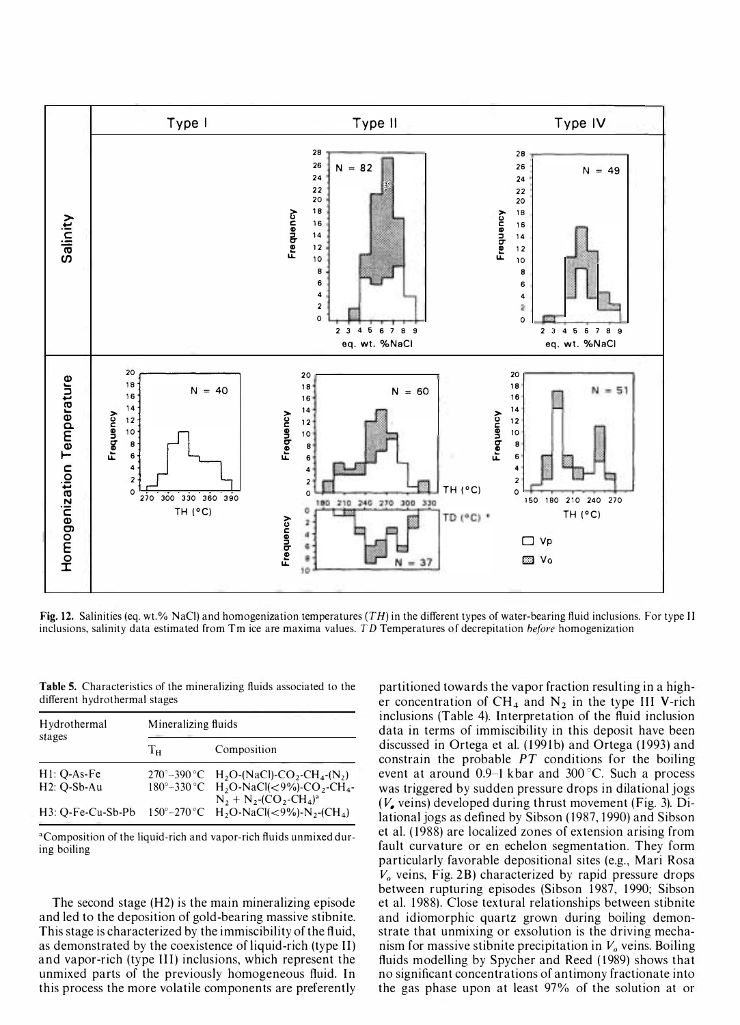

Fig. 12. Salinities (eq. wt.% NaCl) and homogenization temperatures  $(TH)$  in the different types of water-bearing fluid inclusions. For type II inclusions, salinity data estimated from Tm ice are maxima values. TD Temperatures of decrepitation before homogenization

Table 5. Characteristics of the mineralizing fluids associated to the different hydrothermal stages

| Hydrothermal             | Mineralizing fluids |                                                                                                                                                              |  |  |
|--------------------------|---------------------|--------------------------------------------------------------------------------------------------------------------------------------------------------------|--|--|
| stages                   | $T_{\rm H}$         | Composition                                                                                                                                                  |  |  |
| $H1: Q-As-Fe$            |                     | 270°-390°C H <sub>2</sub> O-(NaCl)-CO <sub>2</sub> -CH <sub>4</sub> -(N <sub>2</sub> )                                                                       |  |  |
| H <sub>2</sub> : Q-Sb-Au |                     | 180°-330°C H <sub>2</sub> O-NaCl(<9%)-CO <sub>2</sub> -CH <sub>4</sub> -                                                                                     |  |  |
|                          |                     | $N_2 + N_2$ -(CO <sub>2</sub> -CH <sub>4</sub> ) <sup>a</sup><br>H3: Q-Fe-Cu-Sb-Pb 150°-270 °C H <sub>2</sub> O-NaCl(<9%)-N <sub>2</sub> -(CH <sub>4</sub> ) |  |  |

<sup>a</sup>Composition of the liquid-rich and vapor-rich fluids unmixed during boiling

The second stage (H2) is the main mineralizing episode and led to the deposition of gold-bearing massive stibnite. This stage is characterized by the immiscibility of the fluid, as demonstrated by the coexistence of liquid-rich (type Il) and vapor-rich (type Ill) inclusions, which represent the unmixed parts of the previously homogeneous fluid. In this process the more volatile components are preferently

partitioned towards the vapor fraction resulting in a higher concentration of  $CH_4$  and  $N_2$  in the type III V-rich inclusions (Table 4). Interpretation of the fluid inclusion data in terms of immiscibility in this deposit have been discussed in Ortega et al. (1991b) and Ortega (1993) and constrain the probable  $PT$  conditions for the boiling event at around 0.9-1 kbar and 300°C. Such a process was triggered by sudden pressure drops in dilational jogs  $(V_{\bullet}$  veins) developed during thrust movement (Fig. 3). Dilational jogs as defined by Sibson (1987, 1990) and Sibson et al. ( 1988) are localized zones of extension arising from fault curvature or en echelon segmentation. They form particularly favorable depositional sites (e.g., Mari Rosa  $V<sub>o</sub>$  veins, Fig. 2B) characterized by rapid pressure drops between rupturing episodes (Sibson 1987, 1990; Sibson et al. 1 988). Close textural relationships between stibnite and idiomorphic quartz grown during boiling demonstrate that unmixing or exsolution is the driving mechanism for massive stibnite precipitation in  $V<sub>o</sub>$  veins. Boiling fluids modelling by Spycher and Reed (1989) shows that no significant concentrations of antimony fractionate into the gas phase upon at least 97% of the solution at or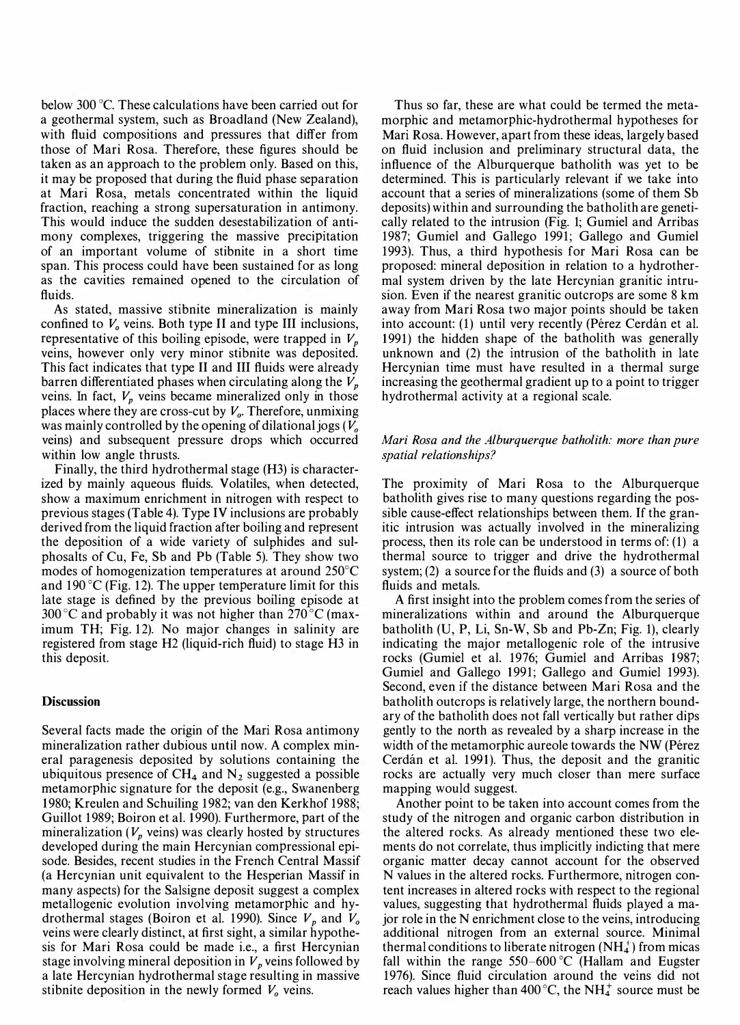below 300 °C. These calculations have been carried out for a geothermal system, such as Broadland (New Zealand), with fluid compositions and pressures that differ from those of Mari Rosa. Therefore, these figures should be taken as an approach to the problem only. Based on this, it may be proposed that during the fluid phase separation at Mari Rosa, metals concentrated within the liquid fraction, reaching a strong supersaturation in antimony. This would induce the sudden desestabilization of antimony complexes, triggering the massive precipitation of an important volume of stibnite in a short time span. This process could have been sustained for as long as the cavities remained opened to the circulation of fluids.

As stated, massive stibnite mineralization is mainly confined to  $V<sub>o</sub>$  veins. Both type II and type III inclusions, representative of this boiling episode, were trapped in  $V_p$ veins, however only very minor stibnite was deposited. This fact indicates that type 11 and III fluids were already barren differentiated phases when circulating along the  $V_p$ veins. In fact,  $V_p$  veins became mineralized only in those places where they are cross-cut by  $V<sub>o</sub>$ . Therefore, unmixing was mainly controlled by the opening of dilational jogs  $(V_0)$ veins) and subsequent pressure drops which occurred within low angle thrusts.

Finally, the third hydrothermal stage (H3) is characterized by mainly aqueous fluids. Volatiles, when detected, show a maximum enrichment in nitrogen with respect to previous stages (Table 4). Type IV inclusions are probably derived from the liquid fraction after boiling and represent the deposition of a wide variety of sulphides and sulphosalts of Cu, Fe, Sb and Pb (Table 5). They show two modes of homogenization temperatures at around 250°C and 190 $\degree$ C (Fig. 12). The upper temperature limit for this late stage is defined by the previous boiling episode at 300 °C and probably it was not higher than  $270$  °C (maximum TH; Fig. 12). No major changes in salinity are registered from stage H2 (liquid-rich fluid) to stage H3 in this deposit.

# **Discussion**

Several facts made the origin of the Mari Rosa antimony mineralization rather dubious until now. A complex mineral paragenesis deposited by solutions containing the ubiquitous presence of  $CH_4$  and  $N_2$  suggested a possible metamorphic signature for the deposit (e.g., Swanenberg 1980; Kreulen and Schuiling 1982; van den Kerkhof 1988; Guillot 1989; Boiron et al. 1990). Furthermore, part of the mineralization ( $V_p$  veins) was clearly hosted by structures developed during the main Hercynian compressional episode. Besides, recent studies in the French Central Massif (a Hercynian unit equivalent to the Hesperian Massif in many aspects) for the Salsigne deposit suggest a complex metallogenic evolution involving metamorphic and hydrothermal stages (Boiron et al. 1990). Since  $V_p$  and  $V_o$ veins were clearly distinct, at first sight, a similar hypothesis for Mari Rosa could be made i.e., a first Hercynian stage involving mineral deposition in  $V_p$  veins followed by a late Hercynian hydrothermal stage resulting in massive stibnite deposition in the newly formed  $V<sub>o</sub>$  veins.

Thus so far, these are what could be termed the metamorphic and metamorphic-hydrothermal hypotheses for Mari Rosa. However, apart from these ideas, largely based on fluid inclusion and preliminary structural data, the influence of the Alburquerque batholith was yet to be determined. This is particularly relevant if we take into account that a series of mineralizations (some of them Sb deposits) within and surrounding the batholith are genetically related to the intrusion (Fig. 1; Gumiel and Arribas 1987; Gumiel and Gallego 1991; Gallego and Gumiel 1993). Thus, a third hypothesis for Mari Rosa can be proposed: mineral deposition in relation to a hydrothermal system driven by the late Hercynian granitic intrusion. Even if the nearest granitic outcrops are some 8 km away from Mari Rosa two major points should be taken into account: (1) until very recently (Pérez Cerdán et al. 1 991) the hidden shape of the batholith was generally unknown and (2) the intrusion of the batholith in late Hercynian time must have resulted in a thermal surge increasing the geothermal gradient up to a point to trigger hydrothermal activity at a regional scale.

# Mari Rosa and the Alburquerque batholith: more than pure spatial relationships?

The proximity of Mari Rosa to the Alburquerque batholith gives rise to many questions regarding the possible cause-effect relationships between them. If the granitic intrusion was actually involved in the mineralizing process, then its role can be understood in terms of: (1) a thermal source to trigger and drive the hydrothermal system; (2) a source for the fluids and (3) a source of both fluids and metals.

A first insight into the problem comes from the series of mineralizations within and around the Alburquerque batholith (U, P, Li, Sn-W, Sb and Pb-Zn; Fig. 1), clearly indicating the major metallogenic role of the intrusive rocks (Gumiel et al. 1976; Gumiel and Arribas 1987; Gumiel and Gallego 1991; Gallego and Gumiel 1993). Second, even if the distance between Mari Rosa and the batholith outcrops is relatively large, the northern boundary of the batholith does not fall vertically but rather dips gently to the north as revealed by a sharp increase in the width of the metamorphic aureole towards the NW (Pérez Cerdán et al. 1991). Thus, the deposit and the granitic rocks are actually very much closer than mere surface mapping would suggest.

Another point to be taken into account comes from the study of the nitrogen and organic carbon distribution in the altered rocks. As already mentioned these two elements do not correlate, thus implicitly indicting that mere organic matter decay cannot account for the observed N values in the altered rocks. Furthermore, nitrogen content increases in altered rocks with respect to the regional values, suggesting that hydrothermal fluids played a major role in the N enrichment close to the veins, introducing additional nitrogen from an external source. Minimal thermal conditions to liberate nitrogen  $(NH_4^+)$  from micas fall within the range  $550-600$  °C (Hallam and Eugster 1976). Since fluid circulation around the veins did not reach values higher than 400 °C, the NH $<sub>4</sub><sup>+</sup>$  source must be</sub>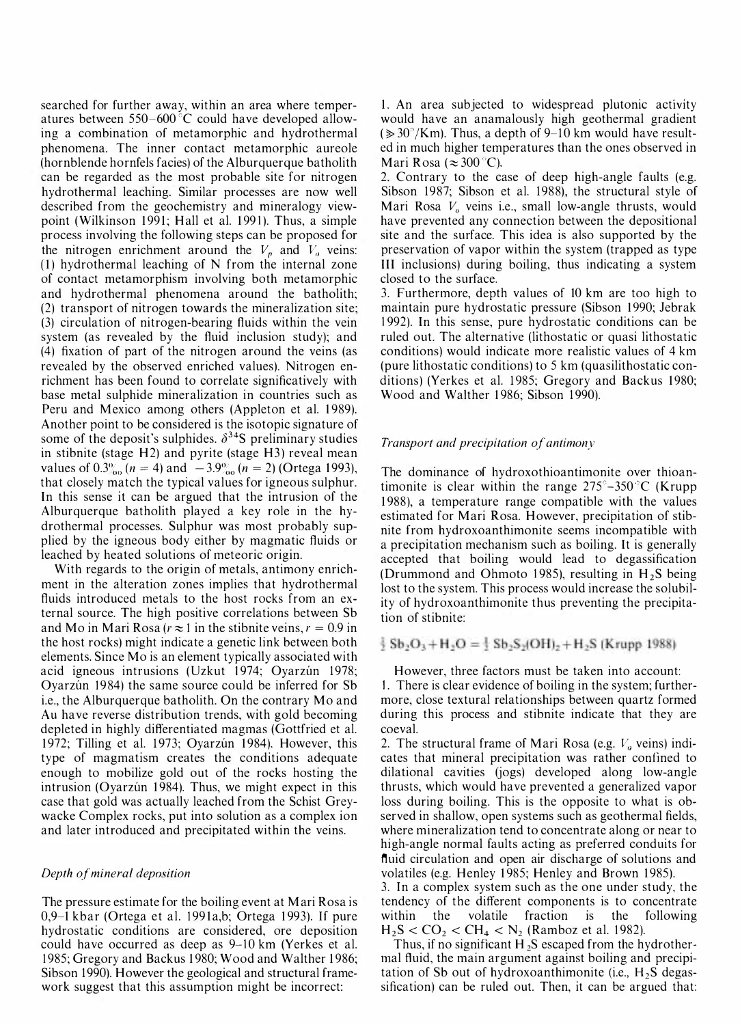searched for further away, within an area where temperatures between  $550-600$  °C could have developed allowing a combination of metamorphic and hydrothermal phenomena. The inner contact metamorphic aureole (hornblende hornfels facies) of the Alburquerque batholith can be regarded as the most probable site for nitrogen hydrothermal leaching. Similar processes are now well described from the geochemistry and mineralogy viewpoint (Wilkinson 1991; Hall et al. 1991). Thus, a simple process involving the following steps can be proposed for the nitrogen enrichment around the  $V_p$  and  $V_q$  veins: (1) hydrothermal leaching of N from the internal zone of contact metamorphism involving both metamorphic and hydrothermal phenomena around the batholith; (2) transport of nitrogen towards the mineralization site; (3) circulation of nitrogen-bearing fluids within the vein system (as revealed by the fluid inclusion study); and (4) fixation of part of the nitrogen around the veins (as revealed by the observed enriched values). Nitrogen enrichment has been found to correlate significatively with base metal sulphide mineralization in countries such as Peru and Mexico among others (Appleton et al. 1989). Another point to be considered is the isotopic signature of some of the deposit's sulphides.  $\delta^{34}$ S preliminary studies in stibnite (stage  $H2$ ) and pyrite (stage  $H3$ ) reveal mean values of  $0.3\%_{00} (n = 4)$  and  $-3.9\%_{00} (n = 2)$  (Ortega 1993), that closely match the typical values for igneous sulphur. In this sense it can be argued that the intrusion of the Alburquerque batholith played a key role in the hydrothermal processes. Sulphur was most probably supplied by the igneous body either by magmatic fluids or leached by heated solutions of meteoric origin.

With regards to the origin of metals, antimony enrichment in the alteration zones implies that hydrothermal fluids introduced metals to the host rocks from an external source. The high positive correlations between Sb and Mo in Mari Rosa ( $r \approx 1$  in the stibnite veins,  $r = 0.9$  in the host rocks) might indicate a genetic link between both elements. Since Mo is an element typically associated with acid igneous intrusions (Uzkut 1974; Oyarzún 1978; Oyarzun 1984) the same source could be inferred for Sb. i.e., the Alburquerque batholith. On the contrary Mo and Au have reverse distribution trends, with gold becoming depleted in highly differentiated magmas (Gottfried et al. 1972; Tilling et al. 1973; Oyarzún 1984). However, this type of magmatism creates the conditions adequate enough to mobilize gold out of the rocks hosting the intrusion (Oyarzún 1984). Thus, we might expect in this case that gold was actually leached from the Schist Greywacke Complex rocks, put into solution as a complex ion and later introduced and precipitated within the veins.

### Depth of mineral deposition

The pressure estimate for the boiling event at Mari Rosa is 0,9-1 kbar (Ortega et al. 1991a,b; Ortega 1993). If pure hydrostatic conditions are considered, ore deposition could have occurred as deep as 9-10 km (Yerkes et al. 1985; Gregory and Backus 1980; Wood and Walther 1986; Sibson 1990). However the geological and structural framework suggest that this assumption might be incorrect:

1. An area subjected to widespread plutonic activity would have an anamalously high geothermal gradient  $(\geq 30^{\circ}/\text{Km})$ . Thus, a depth of 9-10 km would have resulted in much higher temperatures than the ones observed in Mari Rosa ( $\approx 300^{\circ}$ C).

2. Contrary to the case of deep high-angle faults (e.g. Sibson 1987; Sibson et al. 1988), the structural style of Mari Rosa  $V<sub>o</sub>$  veins i.e., small low-angle thrusts, would have prevented any connection between the depositional site and the surface. This idea is also supported by the preservation of vapor within the system (trapped as type III inclusions) during boiling, thus indicating a system closed to the surface.

3. Furthermore, depth values of 10 km are too high to maintain pure hydrostatic pressure (Sibson 1990; Jebrak 1 992). In this sense, pure hydrostatic conditions can be ruled out. The alternative (lithostatic or quasi lithostatic conditions) would indicate more realistic values of 4 km (pure lithostatic conditions) to 5 km (quasilithostatic conditions) (Yerkes et al. 1985; Gregory and Backus 1980; Wood and Walther 1986; Sibson 1990).

### Transport and precipitation of antimony

The dominance of hydroxothioantimonite over thioantimonite is clear within the range  $275^{\circ}$ –350 °C (Krupp 1 988), a temperature range compatible with the values estimated for Mari Rosa. However, precipitation of stibnite from hydroxoanthimonite seems incompatible with a precipitation mechanism such as boiling. It is generally accepted that boiling would lead to degassification (Drummond and Ohmoto 1985), resulting in  $H<sub>2</sub>S$  being lost to the system. This process would increase the solubility of hydroxoanthimonite thus preventing the precipitation of stibnite:

 $\frac{1}{2}$  Sb<sub>2</sub>O<sub>3</sub> + H<sub>2</sub>O =  $\frac{1}{2}$  Sb<sub>2</sub>S<sub>2</sub>(OH)<sub>2</sub> + H<sub>2</sub>S (Krupp 1988)

However, three factors must be taken into account: 1. There is clear evidence of boiling in the system; furthermore, close textural relationships between quartz formed during this process and stibnite indicate that they are coeval.

2. The structural frame of Mari Rosa (e.g.  $V<sub>o</sub>$  veins) indicates that mineral precipitation was rather confined to dilational cavities (jogs) developed along low-angle thrusts, which would have prevented a generalized vapor loss during boiling. This is the opposite to what is observed in shallow, open systems such as geothermal fields, where mineralization tend to concentrate along or near to high-angle normal faults acting as preferred conduits for fluid circulation and open air discharge of solutions and volatiles (e.g. Henley 1985; Henley and Brown 1985).

3. In a complex system such as the one under study, the tendency of the different components is to concentrate within the volatile fraction is the following  $H_2S < CO_2 < CH_4 < N_2$  (Ramboz et al. 1982).

Thus, if no significant H<sub>2</sub>S escaped from the hydrothermal fluid, the main argument against boiling and precipitation of Sb out of hydroxoanthimonite (i.e.,  $H_2S$  degassification) can be ruled out. Then, it can be argued that: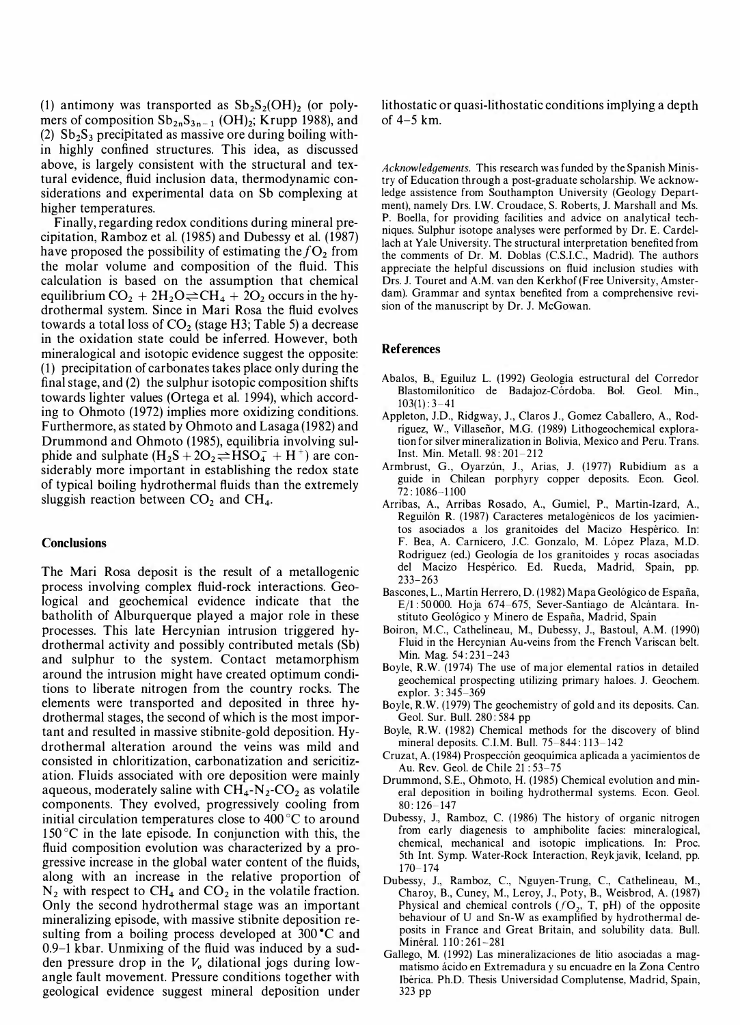(1) antimony was transported as  $Sb_2S_2(OH)$  (or polymers of composition  $\mathrm{Sb}_{2n}\mathrm{S}_{3n-1}$  (OH)<sub>2</sub>; Krupp 1988), and (2)  $Sb<sub>2</sub>S<sub>3</sub>$  precipitated as massive ore during boiling within highly confined structures. This idea, as discussed above, is largely consistent with the structural and textural evidence, fluid inclusion data, thermodynamic considerations and experimental data on Sb complexing at higher temperatures.

Finally, regarding redox conditions during mineral precipitation, Ramboz et al. (1985) and Dubessy et al. (1987) have proposed the possibility of estimating the  $fO<sub>2</sub>$  from the molar volume and composition of the fluid. This calculation is based on the assumption that chemical equilibrium  $CO_2 + 2H_2O \rightleftharpoons CH_4 + 2O_2$  occurs in the hydrothermal system. Since in Mari Rosa the fluid evolves towards a total loss of  $CO<sub>2</sub>$  (stage H3; Table 5) a decrease in the oxidation state could be inferred. However, both mineralogical and isotopic evidence suggest the opposite: (1) precipitation of carbonates takes place only during the final stage, and (2) the sulphur isotopic composition shifts towards lighter values (Ortega et al. 1994), which according to Ohmoto (1972) implies more oxidizing conditions. Furthermore, as stated by Ohmoto and Lasaga (1982) and Drummond and Ohmoto (1985), equilibria involving sulphide and sulphate  $(H_2S + 2O_2 \rightleftharpoons HSO_4^- + H^+)$  are considerably more important in establishing the redox state of typical boiling hydrothermal fluids than the extremely sluggish reaction between  $CO<sub>2</sub>$  and  $CH<sub>4</sub>$ .

### **Conclusions**

The Mari Rosa deposit is the result of a metallogenic process involving complex fluid-rock interactions. Geological and geochemical evidence indicate that the batholith of Alburquerque played a major role in these processes. This late Hercynian intrusion triggered hydrothermal activity and possibly contributed metals (Sb) and sulphur to the system. Contact metamorphism around the intrusion might have created optimum conditions to liberate nitrogen from the country rocks. The elements were transported and deposited in three hydrothermal stages, the second of which is the most important and resulted in massive stibnite-gold deposition. Hydrothermal alteration around the veins was mild and consisted in chloritization, carbonatization and sericitization. Fluids associated with ore deposition were mainly aqueous, moderately saline with  $CH_4$ - $N_2$ -CO<sub>2</sub> as volatile components. They evolved, progressively cooling from initial circulation temperatures close to  $400^{\circ}$ C to around  $150^{\circ}$ C in the late episode. In conjunction with this, the fluid composition evolution was characterized by a progressive increase in the global water content of the fluids, along with an increase in the relative proportion of  $N_2$  with respect to CH<sub>4</sub> and CO<sub>2</sub> in the volatile fraction. Only the second hydrothermal stage was an important mineralizing episode, with massive stibnite deposition resulting from a boiling process developed at  $300^{\circ}$ C and  $0.9-1$  kbar. Unmixing of the fluid was induced by a sudden pressure drop in the  $V<sub>o</sub>$  dilational jogs during lowangle fault movement. Pressure conditions together with geological evidence suggest mineral deposition under

lithostatic or quasi-lithostatic conditions implying a depth of  $4-5$  km.

Acknowledgements. This research was funded by the Spanish Ministry of Education through a post-graduate scholarship. We acknowledge assistence from Southampton University (Geology Department), namely Ors. I.W. Croudace, S. Roberts, 1. Marshall and Ms. P. Boella, for providing facilities and advice on analytical techniques. Sulphur isotope analyses were performed by Or. E. Cardellach at Yale University. The structural interpretation benefited from the comments of Or. M. Ooblas (CS.I.C, Madrid). The authors appreciate the helpful discussions on fluid inclusion studies with Ors. 1. Touret and A.M. van den Kerkhof (Free University, Amsterdam). Grammar and syntax benefited from a comprehensive revision of the manuscript by Dr. J. McGowan.

# **References**

- Abalos, B., Eguiluz L. (1992) Geologia estructural del Corredor Blastomilonítico de Badajoz-Córdoba. Bol. Geol. Min.,  $103(1): 3-41$
- Appleton, 1.0., Ridgway, 1., Claros 1., Gomez Caballero, A., Rodriguez, W., ViIlasefior, M.G. ( 1989) Lithogeochemical exploration for silver mineralization in Bolivia, Mexico and Peru. Trans. Inst. Min. Metall. 98 : 201-212
- Armbrust, G., Oyarzún, J., Arias, J. (1977) Rubidium as a guide in Chilean porphyry copper deposits. Econ. Geol. 72 : 1086-1 100
- Arribas, A., Arribas Rosado, A., Gumiel, P., Martin-Izard, A., Reguilón R. (1987) Caracteres metalogénicos de los yacimientos asociados a los granitoides del Macizo Hespérico. In: F. Bea, A. Carnicero, J.C. Gonzalo, M. López Plaza, M.D. Rodriguez (ed.) Geologia de los granitoides y rocas asociadas del Macizo Hespérico. Ed. Rueda, Madrid, Spain, pp. 233-263
- Bascones, L., Martin Herrero, D. (1982) Mapa Geológico de España,  $E/1: 50000$ . Hoja 674-675, Sever-Santiago de Alcántara. Instituto Geológico y Minero de España, Madrid, Spain
- Boiron, M.C, Cathelineau, M., Oubessy, 1., Bastoul, A.M. (1990) Fluid in the Hercynian Au-veins from the French Variscan belt. Min. Mag. 54:231-243
- Boyle, R.W. (1974) The use of major elemental ratios in detailed geochemical prospecting utilizing primary haloes. 1. Geochem. explor. 3: 345-369
- Boyle, R.W. (1979) The geochemistry of gold and its deposits. Can. Geol. Sur. Bull. 280: 584 pp
- Boyle, R.W. (1982) Chemical methods for the discovery of blind mineral deposits. C.I.M. Bull. 75-844: 113-142
- Cruzat, A. (1984) Prospeccion geoquimica aplicada a yacimientos de Au. Rev. Geol. de Chile 21 : 53-75
- Orummond, S.E., Ohmoto, H. (1985) Chemical evolution and mineral deposition in boiling hydrothermal systems. Econ. Geol.  $80:126 - 147$
- Dubessy, J., Ramboz, C. (1986) The history of organic nitrogen from early diagenesis to amphibolite facies: mineralogical, chemical, mechanical and isotopic implications. In: Proc. 5th Int. Symp. Water-Rock Interaction, Reykjavik, Iceland, pp.  $170 - 174$
- Oubessy, 1., Ramboz, C, Nguyen-Trung, C, Cathelineau, M., Charoy, B., Cuney, M., Leroy, 1., Poty, B., Weisbrod, A. (1987) Physical and chemical controls  $(0, T, pH)$  of the opposite behaviour of U and Sn-W as examplified by hydrothermal deposits in France and Great Britain, and solubility data. Bull. Minéral. 110:261-281
- Gallego, M. (1992) Las mineralizaciones de litio asociadas a magmatismo acido en Extremadura y su encuadre en la Zona Centro Iberica. Ph.O. Thesis Universidad Complutense, Madrid, Spain, 323 pp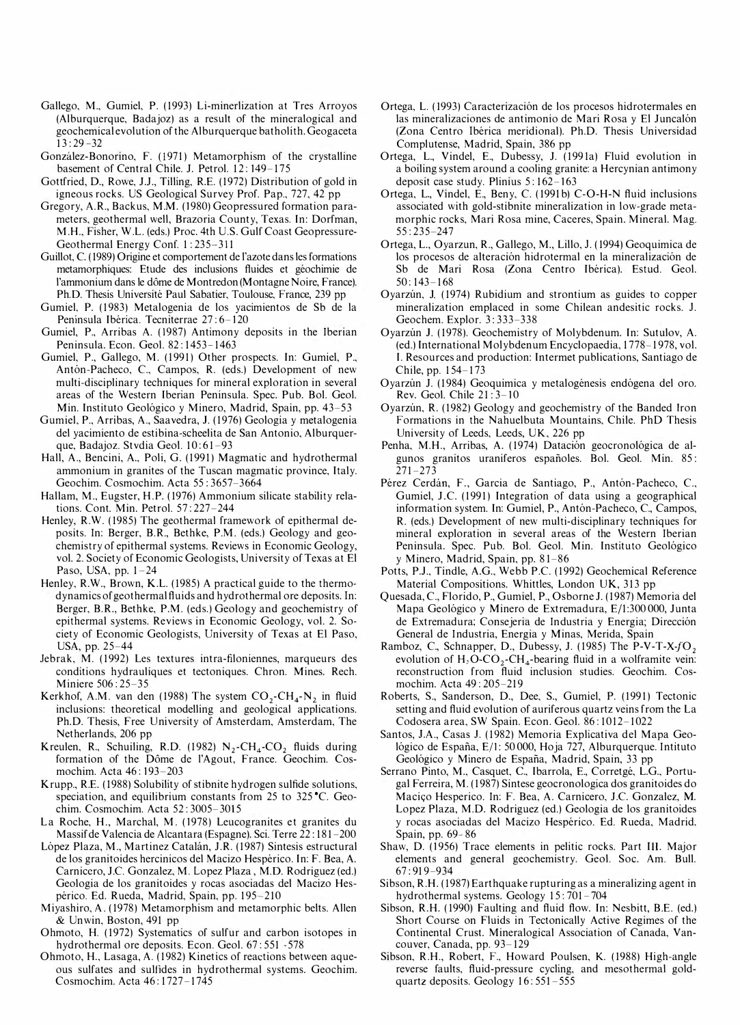- Gallego, M., Gumiel, P. ( 1993) Li-minerlization at Tres Arroyos (Alburquerque, Badajoz) as a result of the mineralogical and geochemical evolution of the Alburquerque batholith. Geogaceta  $13: 29 - 32$
- Gonzalez-Bonorino, F. (1971) Metamorphism of the crystalline basement of Central Chile. J. Petrol. 12:149-175
- Gottfried, D., Rowe, J.J., Tilling, R.E. ( 1972) Distribution of gold in igneous rocks. US Geological Survey Prof. Pap., 727, 42 pp
- Gregory, A.R., Backus, M.M. (1980) Geopressured formation parameters, geothermal well, Brazoria County, Texas. In: Dorfman, M.H., Fisher, W.L. (eds.) Proc. 4th U.S. Gulf Coast Geopressure-Geothermal Energy Conf. 1:235-311
- Guillot, C. (1989) Origine et comportement de l'azote dans les formations metamorphiques: Etude des inclusions fluides et geochimie de l'ammonium dans le dôme de Montredon (Montagne Noire, France). PhD. Thesis Universite Paul Sabatier, Toulouse, France, 239 pp
- Gumiel, P. (1983) Metalogenia de los yacimientos de Sb de la Península Ibérica. Tecniterrae 27:6-120
- Gumiel, P., Arribas A. ( 1987) Antimony deposits in the Iberian Peninsula. Econ. Geol. 82:1453-1463
- Gumiel, P., Gallego, M. (1991) Other prospects. In: Gumiel, P., Antón-Pacheco, C., Campos, R. (eds.) Development of new multi-disciplinary techniques for mineral exploration in several areas of the Western Iberian Peninsula. Spec. Pub. Bol. Geol. Min. Instituto Geológico y Minero, Madrid, Spain, pp. 43–53
- Gumiel, P., Arribas, A., Saavedra, J. (1976) Geologia y metalogenia del yacimiento de estibina-scheelita de San Antonio, Alburquerque, Badajoz. Stvdia Geol. 10:61-93
- Hall, A., Bencini, A., Poli, G. (1991) Magmatic and hydrothermal ammonium in granites of the Tuscan magmatic province, Italy. Geochim. Cosmochim. Acta 55 : 3657-3664
- Hallam, M., Eugster, H.P. ( 1976) Ammonium silicate stability relations. Cont. Min. Petrol. 57 : 227 -244
- Henley, R.W. (1985) The geothermal framework of epithermal deposits. In: Berger, B.R., Bethke, P.M. (eds.) Geology and geochemistry of epithermal systems. Reviews in Economic Geology, vol. 2. Society of Economic Geologists, University of Texas at El Paso, USA, pp. 1-24
- Henley, R.W., Brown, K.L. (1985) A practical guide to the thermodynamics of geothermal fluids and hydrothermal ore deposits. In: Berger, B.R., Bethke, P.M. (eds.) Geology and geochemistry of epithermal systems. Reviews in Economic Geology, vol. 2. Society of Economic Geologists, University of Texas at El Paso, USA, pp. 25-44
- lebrak, M. (1992) Les textures intra-filoniennes, marqueurs des conditions hydrauliques et tectoniques. Chron. Mines. Rech. Miniere 506 : 25-35
- Kerkhof, A.M. van den (1988) The system  $CO_2$ -CH<sub>4</sub>-N<sub>2</sub> in fluid inclusions: theoretical modelling and geological applications. Ph.D. Thesis, Free University of Amsterdam, Amsterdam, The Netherlands, 206 pp
- Kreulen, R., Schuiling, R.D. (1982)  $N_2$ -CH<sub>4</sub>-CO<sub>2</sub> fluids during formation of the Dôme de l'Agout, France. Geochim. Cosmochim. Acta 46:193-203
- Krupp., R.E. ( 1988) Solubility of stibnite hydrogen sulfide solutions, speciation, and equilibrium constants from  $25$  to  $325$  °C. Geochim. Cosmochim. Acta 52 : 3005-3015
- La Roche, H., Marchal, M. (1978) Leucogranites et granites du Massif de Valencia de A1cantara (Espagne). Sci. Terre 22 : 181 -200
- López Plaza, M., Martinez Catalán, J.R. (1987) Sintesis estructural de los granitoides hercinicos del Macizo Hespérico. In: F. Bea, A. Carnicero, J.C. Gonzalez, M. Lopez Plaza, M.D. Rodriguez (ed.) Geologia de los granitoides y rocas asociadas del Macizo Hespérico. Ed. Rueda, Madrid, Spain, pp. 195-210
- Miyashiro, A. ( 1978) Metamorphism and metamorphic belts. Alien & Un win, Boston, 491 pp
- Ohmoto, H. ( 1972) Systematics of sulfur and carbon isotopes in hydrothermal ore deposits. Econ. Geol. 67:551 - 578
- Ohmoto, H., Lasaga, A. (1982) Kinetics of reactions between aqueous sulfates and sulfides in hydrothermal systems. Geochim. Cosmochim. Acta 46:1727-1745
- Ortega, L. ( 1993) Caracterizacion de los procesos hidrotermales en las mineralizaciones de antimonio de Mari Rosa y El Juncalón (Zona Centro Iberica meridional). Ph.D. Thesis Universidad Complutense, Madrid, Spain, 386 pp
- Ortega, L., Vindel, E., Dubessy, J. (1991a) Fluid evolution in a boiling system around a cooling granite: a Hercynian antimony deposit case study. Plinius  $5:162-163$
- Ortega, L., Vindel, E., Beny, C. (1991b) C-O-H-N fluid inclusions associated with gold-stibnite mineralization in low-grade metamorphic rocks, Mari Rosa mine, Caceres, Spain. Mineral. Mag. 55 : 235-247
- Ortega, L., Oyarzun, R., Gallego, M., Lillo, J. ( 1994) Geoquimica de los procesos de alteracion hidrotermal en la mineralizacion de Sb de Mari Rosa (Zona Centro Iberica). Estud. Geol.  $50 \cdot 143 - 168$
- Ovarzún, J. (1974) Rubidium and strontium as guides to copper mineralization emplaced in some Chilean andesitic rocks. J. Geochem. Explor. 3: 333-338
- Oyarzún J. (1978). Geochemistry of Molybdenum. In: Sutulov, A. (ed.) International Molybdenum Encyclopaedia, 1778-1978, vol. I. Resources and production: Intermet publications, Santiago de Chile, pp. 154-173
- Oyarzún J. (1984) Geoquimica y metalogénesis endógena del oro. Rev. Geol. Chile 21:3-10
- Oyarzun, R. (1982) Geology and geochemistry of the Banded Iron Formations in the Nahuelbuta Mountains, Chile. PhD Thesis University of Leeds, Leeds, UK, 226 pp
- Penha, M.H., Arribas, A. (1974) Datación geocronológica de algunos granitos uraniferos espanoles. Bol. Geol. Min. 85 :  $271 - 273$
- Pérez Cerdán, F., Garcia de Santiago, P., Antón-Pacheco, C., Gumiel, J.C. (1991) Integration of data using a geographical information system. In: Gumiel, P., Antón-Pacheco, C., Campos, R. (eds.) Development of new multi-disciplinary techniques for mineral exploration in several areas of the Western Iberian Peninsula. Spec. Pub. Bol. Geol. Min. Instituto Geologico y Minero, Madrid, Spain, pp. 8 1-86
- Potts, P.J., Tindle, A.G., Webb P.C. (1992) Geochemical Reference Material Compositions. Whittles, London UK, 313 pp
- Quesada, C., Florido, P., Gumiel, P., Osborne J. (1987) Memoria del Mapa Geologico y Minero de Extremadura, E/1:300 000, Junta de Extremadura; Consejeria de Industria y Energia; Direccion General de I ndustria, Energia y Minas, Merida, Spain
- Ramboz, C., Schnapper, D., Dubessy, J. (1985) The P-V-T-X-fO, evolution of  $H_2O$ -CO<sub>2</sub>-CH<sub>4</sub>-bearing fluid in a wolframite vein: reconstruction from fluid inclusion studies. Geochim. Cosmochim. Acta 49 : 205-219
- Roberts, S., Sanderson, D., Dee, S., Gumiel, P. (1991) Tectonic setting and fluid evolution of auriferous quartz veins from the La Codosera area, SW Spain. Econ. Geol. 86:1012-1022
- Santos, lA., Casas 1. (1982) Memoria Explicativa del Mapa Geológico de España, E/1: 50 000, Hoja 727, Alburquerque. Intituto Geológico y Minero de España, Madrid, Spain, 33 pp
- Serrano Pinto, M., Casquet, C., Ibarrola, E., Corretgé, L.G., Portugal Ferreira, M. (1987) Sintese geocronologica dos granitoides do Macico Hesperico. In: F. Bea, A. Carnicero, J.C. Gonzalez, M. Lopez Plaza, M.D. Rodriguez (ed.) Geologia de los granitoides y rocas asociadas del Macizo Hesperico. Ed. Rueda, Madrid, Spain, pp. 69- 86
- Shaw, D. (1956) Trace elements in pelitic rocks. Part III. Major elements and general geochemistry. Geol. Soc. Am. Bull. 67 : 91 9-934
- Sibson, R.H. ( 1987) Earthquake rupturing as a mineralizing agent in hydrothermal systems. Geology 15:701-704
- Sibson, R.H. ( 1990) Faulting and fluid flow. In: Nesbitt, B.E. (ed.) Short Course on Fluids in Tectonically Active Regimes of the Continental Crust. Mineralogical Association of Canada, Vancouver, Canada, pp. 93–129
- Sibson, R.H., Robert, F., Howard Poulsen, K. ( 1988) High-angle reverse faults, fluid-pressure cycling, and mesothermal goldquartz deposits. Geology 16: 551 -555